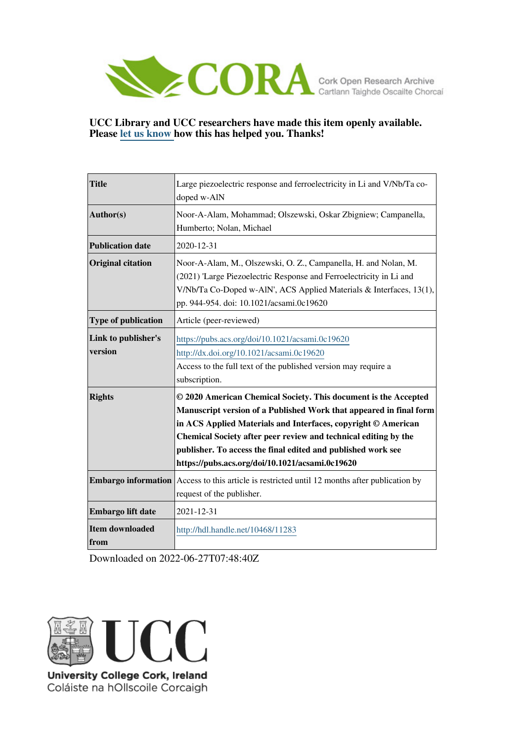

#### **UCC Library and UCC researchers have made this item openly available. Please [let us know h](https://libguides.ucc.ie/openaccess/impact?suffix=11283&title=Large piezoelectric response and ferroelectricity in Li and V/Nb/Ta co-doped w-AlN)ow this has helped you. Thanks!**

| <b>Title</b>                   | Large piezoelectric response and ferroelectricity in Li and V/Nb/Ta co-<br>doped w-AlN                                                                                                                                                                                                                                                                                                       |
|--------------------------------|----------------------------------------------------------------------------------------------------------------------------------------------------------------------------------------------------------------------------------------------------------------------------------------------------------------------------------------------------------------------------------------------|
| Author(s)                      | Noor-A-Alam, Mohammad; Olszewski, Oskar Zbigniew; Campanella,<br>Humberto; Nolan, Michael                                                                                                                                                                                                                                                                                                    |
| <b>Publication date</b>        | 2020-12-31                                                                                                                                                                                                                                                                                                                                                                                   |
| <b>Original citation</b>       | Noor-A-Alam, M., Olszewski, O. Z., Campanella, H. and Nolan, M.<br>(2021) 'Large Piezoelectric Response and Ferroelectricity in Li and<br>V/Nb/Ta Co-Doped w-AlN', ACS Applied Materials & Interfaces, 13(1),<br>pp. 944-954. doi: 10.1021/acsami.0c19620                                                                                                                                    |
| Type of publication            | Article (peer-reviewed)                                                                                                                                                                                                                                                                                                                                                                      |
| Link to publisher's<br>version | https://pubs.acs.org/doi/10.1021/acsami.0c19620<br>http://dx.doi.org/10.1021/acsami.0c19620<br>Access to the full text of the published version may require a<br>subscription.                                                                                                                                                                                                               |
| <b>Rights</b>                  | © 2020 American Chemical Society. This document is the Accepted<br>Manuscript version of a Published Work that appeared in final form<br>in ACS Applied Materials and Interfaces, copyright © American<br>Chemical Society after peer review and technical editing by the<br>publisher. To access the final edited and published work see<br>https://pubs.acs.org/doi/10.1021/acsami.0c19620 |
| <b>Embargo information</b>     | Access to this article is restricted until 12 months after publication by<br>request of the publisher.                                                                                                                                                                                                                                                                                       |
| Embargo lift date              | 2021-12-31                                                                                                                                                                                                                                                                                                                                                                                   |
| Item downloaded<br>from        | http://hdl.handle.net/10468/11283                                                                                                                                                                                                                                                                                                                                                            |

Downloaded on 2022-06-27T07:48:40Z



Coláiste na hOllscoile Corcaigh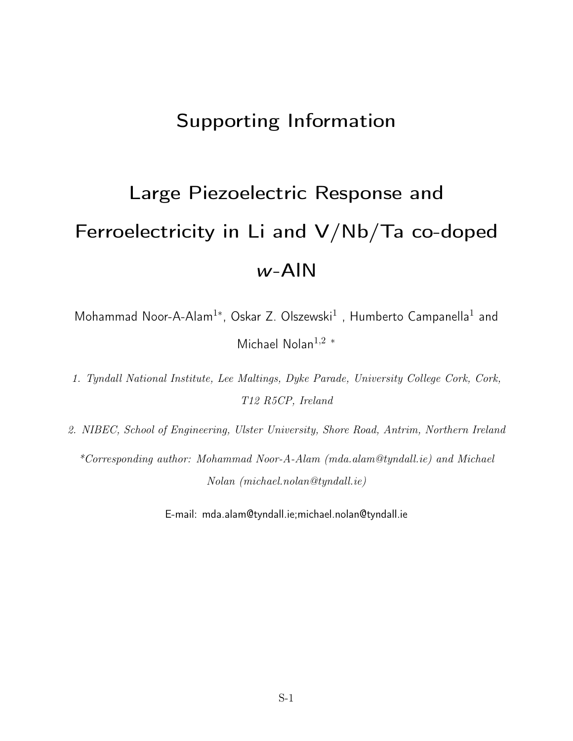## Supporting Information

# Large Piezoelectric Response and Ferroelectricity in Li and V/Nb/Ta co-doped w-AlN

Mohammad Noor-A-Alam<sup>1\*</sup>, Oskar Z. Olszewski<sup>1</sup>, Humberto Campanella<sup>1</sup> and Michael Nolan<sup>1</sup>,<sup>2</sup> <sup>∗</sup>

1. Tyndall National Institute, Lee Maltings, Dyke Parade, University College Cork, Cork, T12 R5CP, Ireland

2. NIBEC, School of Engineering, Ulster University, Shore Road, Antrim, Northern Ireland \*Corresponding author: Mohammad Noor-A-Alam (mda.alam@tyndall.ie) and Michael Nolan (michael.nolan@tyndall.ie)

E-mail: mda.alam@tyndall.ie;michael.nolan@tyndall.ie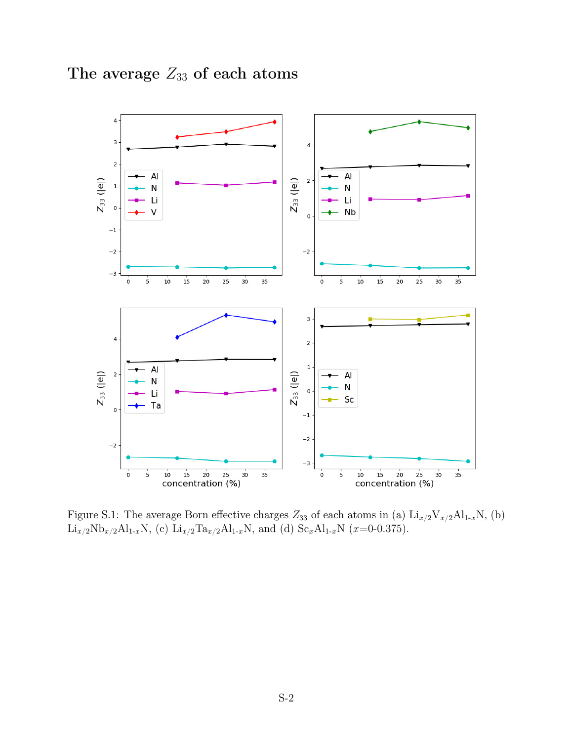



Figure S.1: The average Born effective charges  $Z_{33}$  of each atoms in (a)  $\text{Li}_{x/2}\text{V}_{x/2}\text{Al}_{1-x}\text{N}$ , (b)  ${\rm Li}_{x/2}{\rm Nb}_{x/2}{\rm Al}_{1-x}{\rm N},$  (c)  ${\rm Li}_{x/2}{\rm Ta}_{x/2}{\rm Al}_{1-x}{\rm N},$  and (d)  ${\rm Sc}_x{\rm Al}_{1-x}{\rm N}$  (x=0-0.375).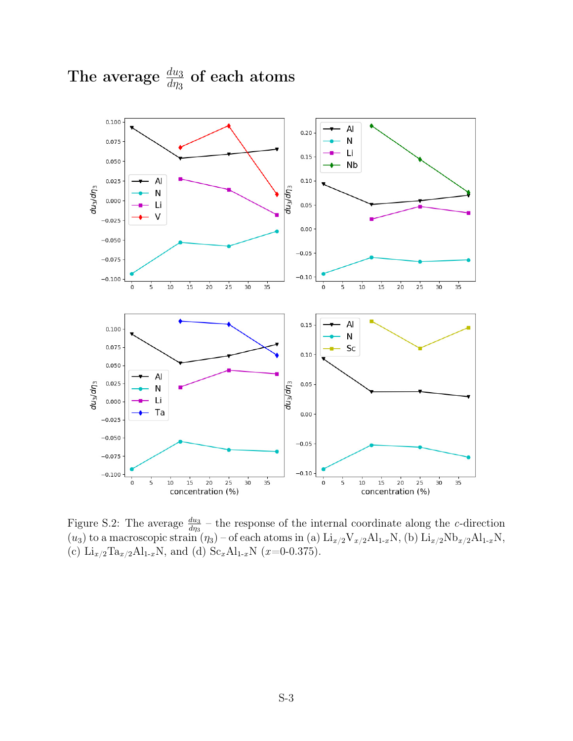

## The average  $\frac{du_3}{d\eta_3}$  of each atoms

Figure S.2: The average  $\frac{du_3}{d\eta_3}$  – the response of the internal coordinate along the *c*-direction  $(u_3)$  to a macroscopic strain  $(\eta_3)$  – of each atoms in (a)  $\text{Li}_{x/2}\text{V}_{x/2}\text{Al}_{1-x}\text{N}$ , (b)  $\text{Li}_{x/2}\text{Nb}_{x/2}\text{Al}_{1-x}\text{N}$ , (c)  $Li_{x/2}Ta_{x/2}Al_{1-x}N$ , and (d)  $Sc_xAl_{1-x}N$  (x=0-0.375).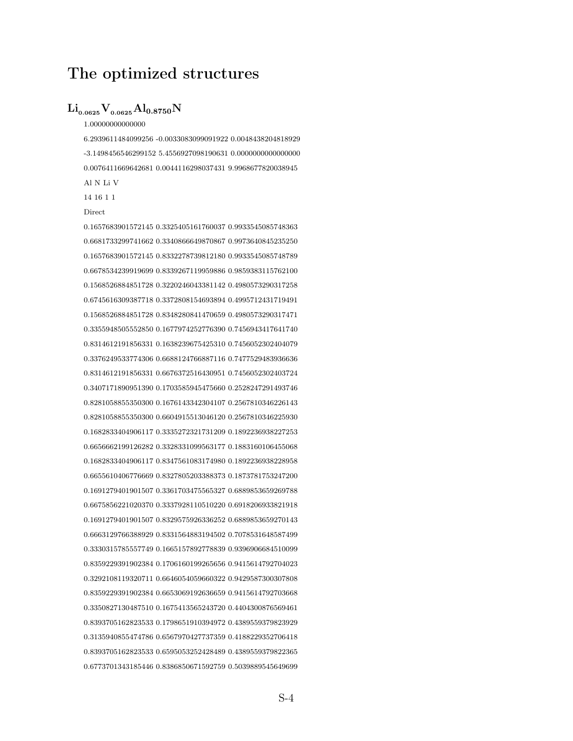## The optimized structures

#### $\rm Li_{0.0625}V_{0.0625}Al_{0.8750}N$

#### 1.00000000000000

6.2939611484099256 -0.0033083099091922 0.0048438204818929 -3.1498456546299152 5.4556927098190631 0.0000000000000000 0.0076411669642681 0.0044116298037431 9.9968677820038945 Al N Li V

14 16 1 1

#### Direct

0.1657683901572145 0.3325405161760037 0.9933545085748363 0.6681733299741662 0.3340866649870867 0.9973640845235250 0.1657683901572145 0.8332278739812180 0.9933545085748789 0.6678534239919699 0.8339267119959886 0.9859383115762100 0.1568526884851728 0.3220246043381142 0.4980573290317258 0.6745616309387718 0.3372808154693894 0.4995712431719491 0.1568526884851728 0.8348280841470659 0.4980573290317471 0.3355948505552850 0.1677974252776390 0.7456943417641740 0.8314612191856331 0.1638239675425310 0.7456052302404079 0.3376249533774306 0.6688124766887116 0.7477529483936636 0.8314612191856331 0.6676372516430951 0.7456052302403724 0.3407171890951390 0.1703585945475660 0.2528247291493746 0.8281058855350300 0.1676143342304107 0.2567810346226143 0.8281058855350300 0.6604915513046120 0.2567810346225930 0.1682833404906117 0.3335272321731209 0.1892236938227253 0.6656662199126282 0.3328331099563177 0.1883160106455068 0.1682833404906117 0.8347561083174980 0.1892236938228958 0.6655610406776669 0.8327805203388373 0.1873781753247200 0.1691279401901507 0.3361703475565327 0.6889853659269788 0.6675856221020370 0.3337928110510220 0.6918206933821918 0.1691279401901507 0.8329575926336252 0.6889853659270143 0.6663129766388929 0.8331564883194502 0.7078531648587499 0.3330315785557749 0.1665157892778839 0.9396906684510099 0.8359229391902384 0.1706160199265656 0.9415614792704023 0.3292108119320711 0.6646054059660322 0.9429587300307808 0.8359229391902384 0.6653069192636659 0.9415614792703668 0.3350827130487510 0.1675413565243720 0.4404300876569461 0.8393705162823533 0.1798651910394972 0.4389559379823929 0.3135940855474786 0.6567970427737359 0.4188229352706418 0.8393705162823533 0.6595053252428489 0.4389559379822365 0.6773701343185446 0.8386850671592759 0.5039889545649699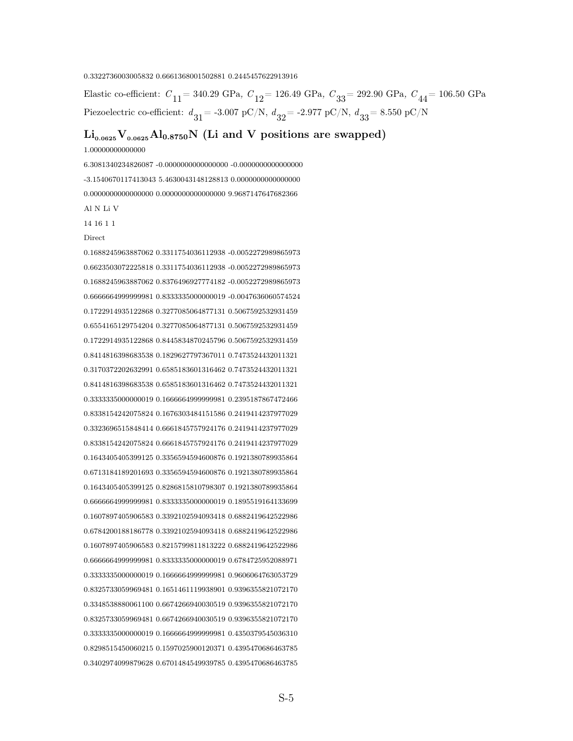#### 0.3322736003005832 0.6661368001502881 0.2445457622913916

Elastic co-efficient:  $C_{11}$  = 340.29 GPa,  $C_{12}$  = 126.49 GPa,  $C_{33}$  = 292.90 GPa,  $C_{44}$  = 106.50 GPa Piezoelectric co-efficient:  $d_{31}$  = -3.007 pC/N,  $d_{32}$  = -2.977 pC/N,  $d_{33}$  = 8.550 pC/N

## $\rm Li_{0.0625}V_{0.0625}Al_{0.8750}N$  (Li and V positions are swapped)

1.00000000000000

6.3081340234826087 -0.0000000000000000 -0.0000000000000000 -3.1540670117413043 5.4630043148128813 0.0000000000000000 0.0000000000000000 0.0000000000000000 9.9687147647682366 Al N Li V 14 16 1 1 Direct 0.1688245963887062 0.3311754036112938 -0.0052272989865973

0.6623503072225818 0.3311754036112938 -0.0052272989865973 0.1688245963887062 0.8376496927774182 -0.0052272989865973 0.6666664999999981 0.8333335000000019 -0.0047636060574524 0.1722914935122868 0.3277085064877131 0.5067592532931459 0.6554165129754204 0.3277085064877131 0.5067592532931459 0.1722914935122868 0.8445834870245796 0.5067592532931459 0.8414816398683538 0.1829627797367011 0.7473524432011321 0.3170372202632991 0.6585183601316462 0.7473524432011321 0.8414816398683538 0.6585183601316462 0.7473524432011321 0.3333335000000019 0.1666664999999981 0.2395187867472466 0.8338154242075824 0.1676303484151586 0.2419414237977029 0.3323696515848414 0.6661845757924176 0.2419414237977029 0.8338154242075824 0.6661845757924176 0.2419414237977029 0.1643405405399125 0.3356594594600876 0.1921380789935864 0.6713184189201693 0.3356594594600876 0.1921380789935864 0.1643405405399125 0.8286815810798307 0.1921380789935864 0.6666664999999981 0.8333335000000019 0.1895519164133699 0.1607897405906583 0.3392102594093418 0.6882419642522986 0.6784200188186778 0.3392102594093418 0.6882419642522986 0.1607897405906583 0.8215799811813222 0.6882419642522986 0.6666664999999981 0.8333335000000019 0.6784725952088971 0.3333335000000019 0.1666664999999981 0.9606064763053729 0.8325733059969481 0.1651461119938901 0.9396355821072170 0.3348538880061100 0.6674266940030519 0.9396355821072170 0.8325733059969481 0.6674266940030519 0.9396355821072170 0.3333335000000019 0.1666664999999981 0.4350379545036310 0.8298515450060215 0.1597025900120371 0.4395470686463785 0.3402974099879628 0.6701484549939785 0.4395470686463785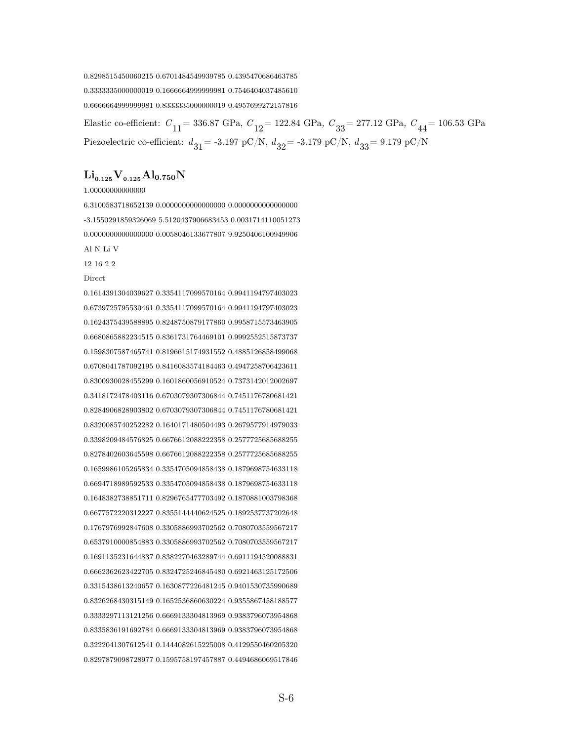0.8298515450060215 0.6701484549939785 0.4395470686463785 0.3333335000000019 0.1666664999999981 0.7546404037485610 0.6666664999999981 0.8333335000000019 0.4957699272157816

Elastic co-efficient:  $C_{11}$  = 336.87 GPa,  $C_{12}$  = 122.84 GPa,  $C_{33}$  = 277.12 GPa,  $C_{44}$  = 106.53 GPa Piezoelectric co-efficient:  $d_{31}$  = -3.197 pC/N,  $d_{32}$  = -3.179 pC/N,  $d_{33}$  = 9.179 pC/N

 $\rm Li_{0.125}V_{0.125}Al_{0.750}N$ 

1.00000000000000

6.3100583718652139 0.0000000000000000 0.0000000000000000 -3.1550291859326069 5.5120437906683453 0.0031714110051273 0.0000000000000000 0.0058046133677807 9.9250406100949906 Al N Li V 12 16 2 2 **Direct** 0.1614391304039627 0.3354117099570164 0.9941194797403023

0.6739725795530461 0.3354117099570164 0.9941194797403023 0.1624375439588895 0.8248750879177860 0.9958715573463905 0.6680865882234515 0.8361731764469101 0.9992552515873737 0.1598307587465741 0.8196615174931552 0.4885126858499068 0.6708041787092195 0.8416083574184463 0.4947258706423611 0.8300930028455299 0.1601860056910524 0.7373142012002697 0.3418172478403116 0.6703079307306844 0.7451176780681421 0.8284906828903802 0.6703079307306844 0.7451176780681421 0.8320085740252282 0.1640171480504493 0.2679577914979033 0.3398209484576825 0.6676612088222358 0.2577725685688255 0.8278402603645598 0.6676612088222358 0.2577725685688255 0.1659986105265834 0.3354705094858438 0.1879698754633118 0.6694718989592533 0.3354705094858438 0.1879698754633118 0.1648382738851711 0.8296765477703492 0.1870881003798368 0.6677572220312227 0.8355144440624525 0.1892537737202648 0.1767976992847608 0.3305886993702562 0.7080703559567217 0.6537910000854883 0.3305886993702562 0.7080703559567217 0.1691135231644837 0.8382270463289744 0.6911194520088831 0.6662362623422705 0.8324725246845480 0.6921463125172506 0.3315438613240657 0.1630877226481245 0.9401530735990689 0.8326268430315149 0.1652536860630224 0.9355867458188577 0.3333297113121256 0.6669133304813969 0.9383796073954868 0.8335836191692784 0.6669133304813969 0.9383796073954868 0.3222041307612541 0.1444082615225008 0.4129550460205320 0.8297879098728977 0.1595758197457887 0.4494686069517846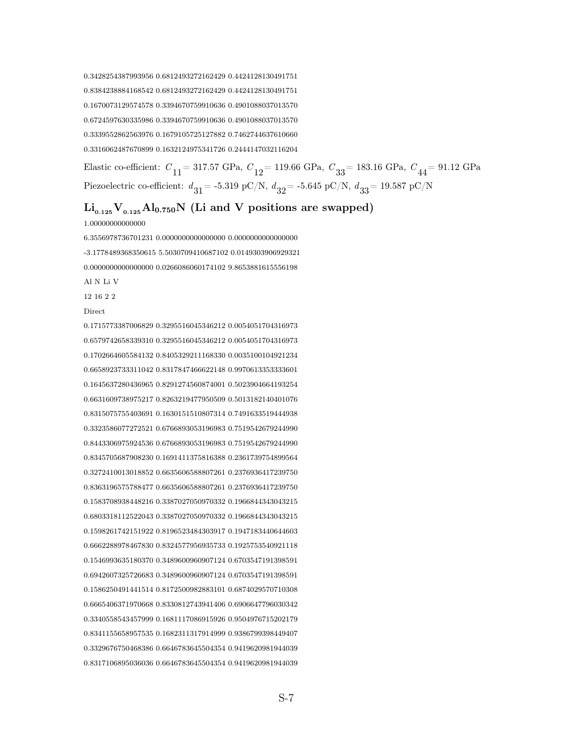0.3428254387993956 0.6812493272162429 0.4424128130491751 0.8384238884168542 0.6812493272162429 0.4424128130491751 0.1670073129574578 0.3394670759910636 0.4901088037013570 0.6724597630335986 0.3394670759910636 0.4901088037013570 0.3339552862563976 0.1679105725127882 0.7462744637610660 0.3316062487670899 0.1632124975341726 0.2444147032116204

Elastic co-efficient:  $C_{11}$  = 317.57 GPa,  $C_{12}$  = 119.66 GPa,  $C_{33}$  = 183.16 GPa,  $C_{44}$  = 91.12 GPa Piezoelectric co-efficient:  $d_{31}$  = -5.319 pC/N,  $d_{32}$  = -5.645 pC/N,  $d_{33}$  = 19.587 pC/N

## $Li_{0.125}V_{0.125}Al_{0.750}N$  (Li and V positions are swapped)

1.00000000000000

6.3556978736701231 0.0000000000000000 0.0000000000000000 -3.1778489368350615 5.5030709410687102 0.0149303906929321 0.0000000000000000 0.0266086060174102 9.8653881615556198 Al N Li V 12 16 2 2 Direct

0.1715773387006829 0.3295516045346212 0.0054051704316973 0.6579742658339310 0.3295516045346212 0.0054051704316973 0.1702664605584132 0.8405329211168330 0.0035100104921234 0.6658923733311042 0.8317847466622148 0.9970613353333601 0.1645637280436965 0.8291274560874001 0.5023904664193254 0.6631609738975217 0.8263219477950509 0.5013182140401076 0.8315075755403691 0.1630151510807314 0.7491633519444938 0.3323586077272521 0.6766893053196983 0.7519542679244990 0.8443306975924536 0.6766893053196983 0.7519542679244990 0.8345705687908230 0.1691411375816388 0.2361739754899564 0.3272410013018852 0.6635606588807261 0.2376936417239750 0.8363196575788477 0.6635606588807261 0.2376936417239750 0.1583708938448216 0.3387027050970332 0.1966844343043215 0.6803318112522043 0.3387027050970332 0.1966844343043215 0.1598261742151922 0.8196523484303917 0.1947183440644603 0.6662288978467830 0.8324577956935733 0.1925753540921118 0.1546993635180370 0.3489600960907124 0.6703547191398591 0.6942607325726683 0.3489600960907124 0.6703547191398591 0.1586250491441514 0.8172500982883101 0.6874029570710308 0.6665406371970668 0.8330812743941406 0.6906647796030342 0.3340558543457999 0.1681117086915926 0.9504976715202179 0.8341155658957535 0.1682311317914999 0.9386799398449407 0.3329676750468386 0.6646783645504354 0.9419620981944039 0.8317106895036036 0.6646783645504354 0.9419620981944039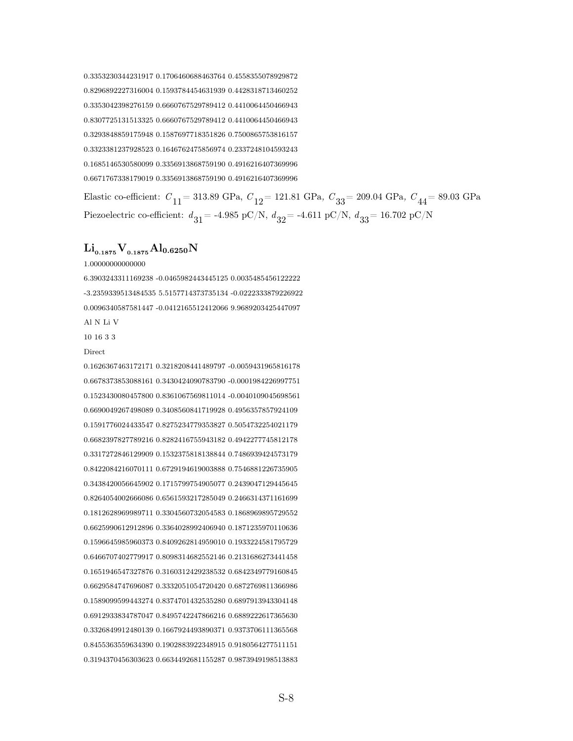0.3353230344231917 0.1706460688463764 0.4558355078929872 0.8296892227316004 0.1593784454631939 0.4428318713460252 0.3353042398276159 0.6660767529789412 0.4410064450466943 0.8307725131513325 0.6660767529789412 0.4410064450466943 0.3293848859175948 0.1587697718351826 0.7500865753816157 0.3323381237928523 0.1646762475856974 0.2337248104593243 0.1685146530580099 0.3356913868759190 0.4916216407369996 0.6671767338179019 0.3356913868759190 0.4916216407369996

Elastic co-efficient:  $C_{11}$  = 313.89 GPa,  $C_{12}$  = 121.81 GPa,  $C_{33}$  = 209.04 GPa,  $C_{44}$  = 89.03 GPa Piezoelectric co-efficient:  $d_{31}$  = -4.985 pC/N,  $d_{32}$  = -4.611 pC/N,  $d_{33}$  = 16.702 pC/N

#### $\rm Li_{0.1875}V_{0.1875}Al_{0.6250}N$

1.00000000000000

6.3903243311169238 -0.0465982443445125 0.0035485456122222 -3.2359339513484535 5.5157714373735134 -0.0222333879226922 0.0096340587581447 -0.0412165512412066 9.9689203425447097 Al N Li V

10 16 3 3

#### **Direct**

0.1626367463172171 0.3218208441489797 -0.0059431965816178 0.6678373853088161 0.3430424090783790 -0.0001984226997751 0.1523430080457800 0.8361067569811014 -0.0040109045698561 0.6690049267498089 0.3408560841719928 0.4956357857924109 0.1591776024433547 0.8275234779353827 0.5054732254021179 0.6682397827789216 0.8282416755943182 0.4942277745812178 0.3317272846129909 0.1532375818138844 0.7486939424573179 0.8422084216070111 0.6729194619003888 0.7546881226735905 0.3438420056645902 0.1715799754905077 0.2439047129445645 0.8264054002666086 0.6561593217285049 0.2466314371161699 0.1812628969989711 0.3304560732054583 0.1868969895729552 0.6625990612912896 0.3364028992406940 0.1871235970110636 0.1596645985960373 0.8409262814959010 0.1933224581795729 0.6466707402779917 0.8098314682552146 0.2131686273441458 0.1651946547327876 0.3160312429238532 0.6842349779160845 0.6629584747696087 0.3332051054720420 0.6872769811366986 0.1589099599443274 0.8374701432535280 0.6897913943304148 0.6912933834787047 0.8495742247866216 0.6889222617365630 0.3326849912480139 0.1667924493890371 0.9373706111365568 0.8455363559634390 0.1902883922348915 0.9180564277511151 0.3194370456303623 0.6634492681155287 0.9873949198513883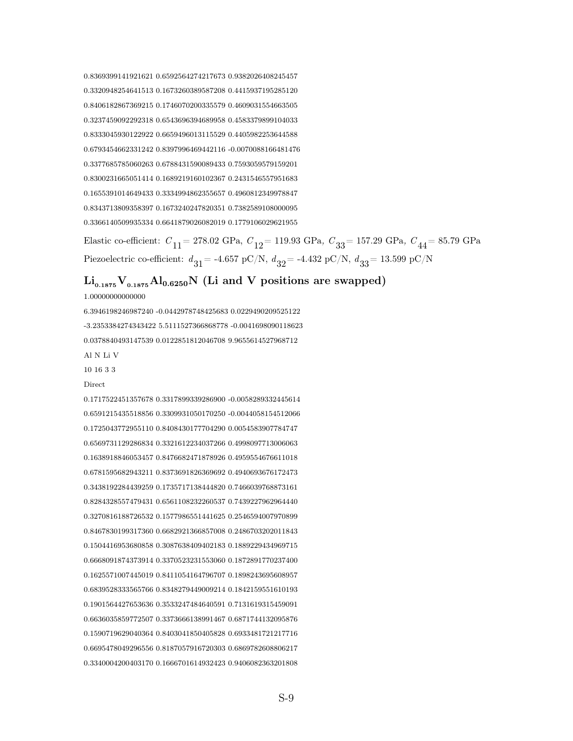0.8369399141921621 0.6592564274217673 0.9382026408245457 0.3320948254641513 0.1673260389587208 0.4415937195285120 0.8406182867369215 0.1746070200335579 0.4609031554663505 0.3237459092292318 0.6543696394689958 0.4583379899104033 0.8333045930122922 0.6659496013115529 0.4405982253644588 0.6793454662331242 0.8397996469442116 -0.0070088166481476 0.3377685785060263 0.6788431590089433 0.7593059579159201 0.8300231665051414 0.1689219160102367 0.2431546557951683 0.1655391014649433 0.3334994862355657 0.4960812349978847 0.8343713809358397 0.1673240247820351 0.7382589108000095 0.3366140509935334 0.6641879026082019 0.1779106029621955

Elastic co-efficient:  $C_{11}$  = 278.02 GPa,  $C_{12}$  = 119.93 GPa,  $C_{33}$  = 157.29 GPa,  $C_{44}$  = 85.79 GPa Piezoelectric co-efficient:  $d_{31}$  = -4.657 pC/N,  $d_{32}$  = -4.432 pC/N,  $d_{33}$  = 13.599 pC/N

## $Li_{0.1875}V_{0.1875}Al_{0.6250}N$  (Li and V positions are swapped)

1.00000000000000

6.3946198246987240 -0.0442978748425683 0.0229490209525122 -3.2353384274343422 5.5111527366868778 -0.0041698090118623 0.0378840493147539 0.0122851812046708 9.9655614527968712 Al N Li V

10 16 3 3

Direct

0.1717522451357678 0.3317899339286900 -0.0058289332445614 0.6591215435518856 0.3309931050170250 -0.0044058154512066 0.1725043772955110 0.8408430177704290 0.0054583907784747 0.6569731129286834 0.3321612234037266 0.4998097713006063 0.1638918846053457 0.8476682471878926 0.4959554676611018 0.6781595682943211 0.8373691826369692 0.4940693676172473 0.3438192284439259 0.1735717138444820 0.7466039768873161 0.8284328557479431 0.6561108232260537 0.7439227962964440 0.3270816188726532 0.1577986551441625 0.2546594007970899 0.8467830199317360 0.6682921366857008 0.2486703202011843 0.1504416953680858 0.3087638409402183 0.1889229434969715 0.6668091874373914 0.3370523231553060 0.1872891770237400 0.1625571007445019 0.8411054164796707 0.1898243695608957 0.6839528333565766 0.8348279449009214 0.1842159551610193 0.1901564427653636 0.3533247484640591 0.7131619315459091 0.6636035859772507 0.3373666138991467 0.6871744132095876 0.1590719629040364 0.8403041850405828 0.6933481721217716 0.6695478049296556 0.8187057916720303 0.6869782608806217 0.3340004200403170 0.1666701614932423 0.9406082363201808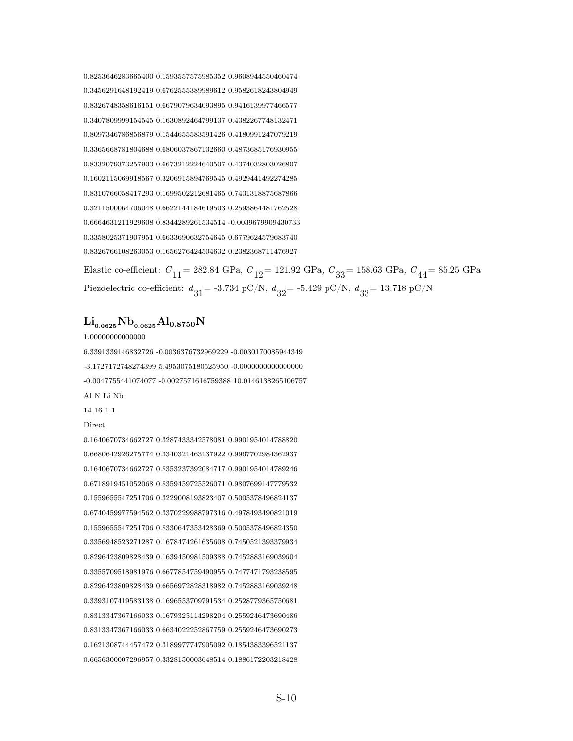0.8253646283665400 0.1593557575985352 0.9608944550460474 0.3456291648192419 0.6762555389989612 0.9582618243804949 0.8326748358616151 0.6679079634093895 0.9416139977466577 0.3407809999154545 0.1630892464799137 0.4382267748132471 0.8097346786856879 0.1544655583591426 0.4180991247079219 0.3365668781804688 0.6806037867132660 0.4873685176930955 0.8332079373257903 0.6673212224640507 0.4374032803026807 0.1602115069918567 0.3206915894769545 0.4929441492274285 0.8310766058417293 0.1699502212681465 0.7431318875687866 0.3211500064706048 0.6622144184619503 0.2593864481762528 0.6664631211929608 0.8344289261534514 -0.0039679909430733 0.3358025371907951 0.6633690632754645 0.6779624579683740 0.8326766108263053 0.1656276424504632 0.2382368711476927

Elastic co-efficient:  $C_{11}$  = 282.84 GPa,  $C_{12}$  = 121.92 GPa,  $C_{33}$  = 158.63 GPa,  $C_{44}$  = 85.25 GPa Piezoelectric co-efficient:  $d_{31}$  = -3.734 pC/N,  $d_{32}$  = -5.429 pC/N,  $d_{33}$  = 13.718 pC/N

## $\rm Li_{0.0625}Nb_{0.0625}Al_{0.8750}N$

1.00000000000000

6.3391339146832726 -0.0036376732969229 -0.0030170085944349 -3.1727172748274399 5.4953075180525950 -0.0000000000000000 -0.0047755441074077 -0.0027571616759388 10.0146138265106757 Al N Li Nb

14 16 1 1

**Direct** 

0.1640670734662727 0.3287433342578081 0.9901954014788820 0.6680642926275774 0.3340321463137922 0.9967702984362937 0.1640670734662727 0.8353237392084717 0.9901954014789246 0.6718919451052068 0.8359459725526071 0.9807699147779532 0.1559655547251706 0.3229008193823407 0.5005378496824137 0.6740459977594562 0.3370229988797316 0.4978493490821019 0.1559655547251706 0.8330647353428369 0.5005378496824350 0.3356948523271287 0.1678474261635608 0.7450521393379934 0.8296423809828439 0.1639450981509388 0.7452883169039604 0.3355709518981976 0.6677854759490955 0.7477471793238595 0.8296423809828439 0.6656972828318982 0.7452883169039248 0.3393107419583138 0.1696553709791534 0.2528779365750681 0.8313347367166033 0.1679325114298204 0.2559246473690486 0.8313347367166033 0.6634022252867759 0.2559246473690273 0.1621308744457472 0.3189977747905092 0.1854383396521137 0.6656300007296957 0.3328150003648514 0.1886172203218428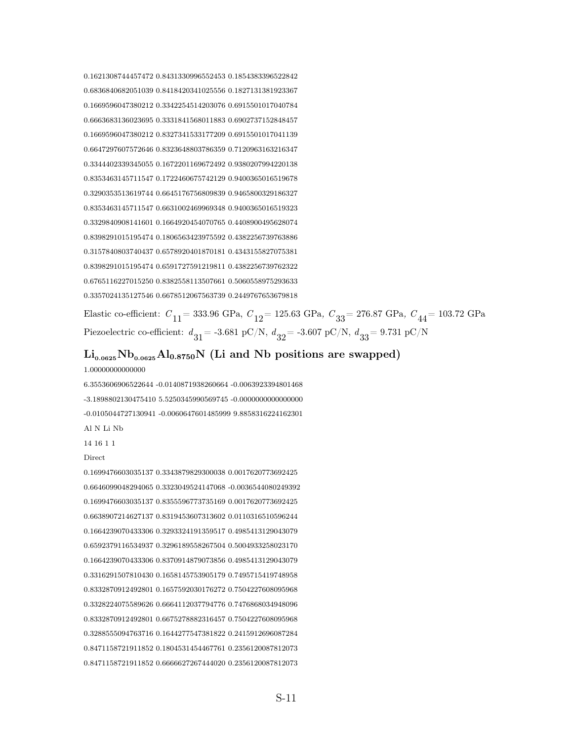0.1621308744457472 0.8431330996552453 0.1854383396522842 0.6836840682051039 0.8418420341025556 0.1827131381923367 0.1669596047380212 0.3342254514203076 0.6915501017040784 0.6663683136023695 0.3331841568011883 0.6902737152848457 0.1669596047380212 0.8327341533177209 0.6915501017041139 0.6647297607572646 0.8323648803786359 0.7120963163216347 0.3344402339345055 0.1672201169672492 0.9380207994220138 0.8353463145711547 0.1722460675742129 0.9400365016519678 0.3290353513619744 0.6645176756809839 0.9465800329186327 0.8353463145711547 0.6631002469969348 0.9400365016519323 0.3329840908141601 0.1664920454070765 0.4408900495628074 0.8398291015195474 0.1806563423975592 0.4382256739763886 0.3157840803740437 0.6578920401870181 0.4343155827075381 0.8398291015195474 0.6591727591219811 0.4382256739762322 0.6765116227015250 0.8382558113507661 0.5060558975293633 0.3357024135127546 0.6678512067563739 0.2449767653679818

Elastic co-efficient:  $C_{11}$  = 333.96 GPa,  $C_{12}$  = 125.63 GPa,  $C_{33}$  = 276.87 GPa,  $C_{44}$  = 103.72 GPa Piezoelectric co-efficient:  $d_{31}$  = -3.681 pC/N,  $d_{32}$  = -3.607 pC/N,  $d_{33}$  = 9.731 pC/N

## $\rm Li_{0.0625}Nb_{0.0625}Al_{0.8750}N$  (Li and Nb positions are swapped)

#### 1.00000000000000

6.3553606906522644 -0.0140871938260664 -0.0063923394801468 -3.1898802130475410 5.5250345990569745 -0.0000000000000000 -0.0105044727130941 -0.0060647601485999 9.8858316224162301 Al N Li Nb

#### 14 16 1 1

#### Direct

0.1699476603035137 0.3343879829300038 0.0017620773692425 0.6646099048294065 0.3323049524147068 -0.0036544080249392 0.1699476603035137 0.8355596773735169 0.0017620773692425 0.6638907214627137 0.8319453607313602 0.0110316510596244 0.1664239070433306 0.3293324191359517 0.4985413129043079 0.6592379116534937 0.3296189558267504 0.5004933258023170 0.1664239070433306 0.8370914879073856 0.4985413129043079 0.3316291507810430 0.1658145753905179 0.7495715419748958 0.8332870912492801 0.1657592030176272 0.7504227608095968 0.3328224075589626 0.6664112037794776 0.7476868034948096 0.8332870912492801 0.6675278882316457 0.7504227608095968 0.3288555094763716 0.1644277547381822 0.2415912696087284 0.8471158721911852 0.1804531454467761 0.2356120087812073 0.8471158721911852 0.6666627267444020 0.2356120087812073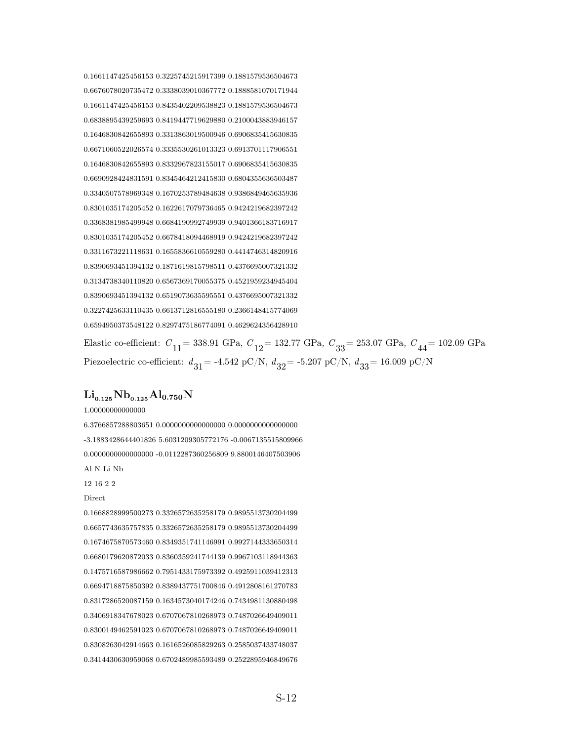0.1661147425456153 0.3225745215917399 0.1881579536504673 0.6676078020735472 0.3338039010367772 0.1888581070171944 0.1661147425456153 0.8435402209538823 0.1881579536504673 0.6838895439259693 0.8419447719629880 0.2100043883946157 0.1646830842655893 0.3313863019500946 0.6906835415630835 0.6671060522026574 0.3335530261013323 0.6913701117906551 0.1646830842655893 0.8332967823155017 0.6906835415630835 0.6690928424831591 0.8345464212415830 0.6804355636503487 0.3340507578969348 0.1670253789484638 0.9386849465635936 0.8301035174205452 0.1622617079736465 0.9424219682397242 0.3368381985499948 0.6684190992749939 0.9401366183716917 0.8301035174205452 0.6678418094468919 0.9424219682397242 0.3311673221118631 0.1655836610559280 0.4414746314820916 0.8390693451394132 0.1871619815798511 0.4376695007321332 0.3134738340110820 0.6567369170055375 0.4521959234945404 0.8390693451394132 0.6519073635595551 0.4376695007321332 0.3227425633110435 0.6613712816555180 0.2366148415774069 0.6594950373548122 0.8297475186774091 0.4629624356428910

Elastic co-efficient:  $C_{11}$  = 338.91 GPa,  $C_{12}$  = 132.77 GPa,  $C_{33}$  = 253.07 GPa,  $C_{44}$  = 102.09 GPa Piezoelectric co-efficient:  $d_{31}$  = -4.542 pC/N,  $d_{32}$  = -5.207 pC/N,  $d_{33}$  = 16.009 pC/N

#### $\rm Li_{0.125}Nb_{0.125}Al_{0.750}N$

1.00000000000000

6.3766857288803651 0.0000000000000000 0.0000000000000000 -3.1883428644401826 5.6031209305772176 -0.0067135515809966 0.0000000000000000 -0.0112287360256809 9.8800146407503906 Al N Li Nb

12 16 2 2

#### Direct

0.1668828999500273 0.3326572635258179 0.9895513730204499 0.6657743635757835 0.3326572635258179 0.9895513730204499 0.1674675870573460 0.8349351741146991 0.9927144333650314 0.6680179620872033 0.8360359241744139 0.9967103118944363 0.1475716587986662 0.7951433175973392 0.4925911039412313 0.6694718875850392 0.8389437751700846 0.4912808161270783 0.8317286520087159 0.1634573040174246 0.7434981130880498 0.3406918347678023 0.6707067810268973 0.7487026649409011 0.8300149462591023 0.6707067810268973 0.7487026649409011 0.8308263042914663 0.1616526085829263 0.2585037433748037 0.3414430630959068 0.6702489985593489 0.2522895946849676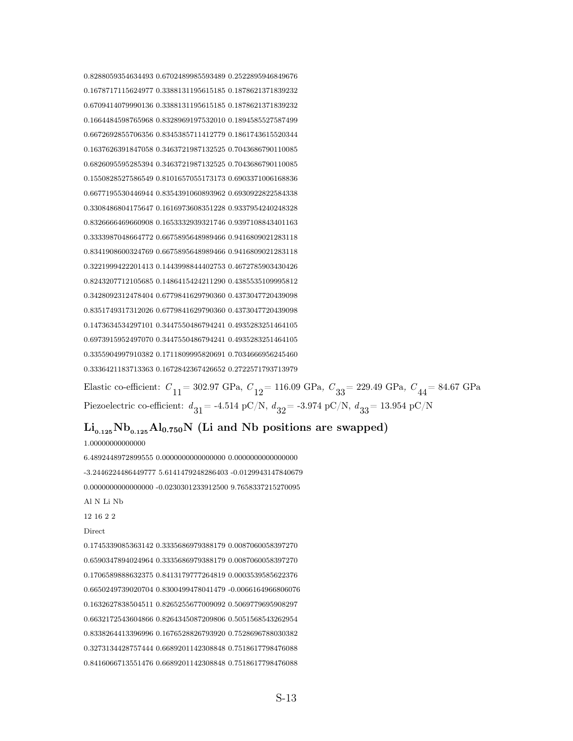0.8288059354634493 0.6702489985593489 0.2522895946849676 0.1678717115624977 0.3388131195615185 0.1878621371839232 0.6709414079990136 0.3388131195615185 0.1878621371839232 0.1664484598765968 0.8328969197532010 0.1894585527587499 0.6672692855706356 0.8345385711412779 0.1861743615520344 0.1637626391847058 0.3463721987132525 0.7043686790110085 0.6826095595285394 0.3463721987132525 0.7043686790110085 0.1550828527586549 0.8101657055173173 0.6903371006168836 0.6677195530446944 0.8354391060893962 0.6930922822584338 0.3308486804175647 0.1616973608351228 0.9337954240248328 0.8326666469660908 0.1653332939321746 0.9397108843401163 0.3333987048664772 0.6675895648989466 0.9416809021283118 0.8341908600324769 0.6675895648989466 0.9416809021283118 0.3221999422201413 0.1443998844402753 0.4672785903430426 0.8243207712105685 0.1486415424211290 0.4385535109995812 0.3428092312478404 0.6779841629790360 0.4373047720439098 0.8351749317312026 0.6779841629790360 0.4373047720439098 0.1473634534297101 0.3447550486794241 0.4935283251464105 0.6973915952497070 0.3447550486794241 0.4935283251464105 0.3355904997910382 0.1711809995820691 0.7034666956245460 0.3336421183713363 0.1672842367426652 0.2722571793713979

Elastic co-efficient:  $C_{11}$  = 302.97 GPa,  $C_{12}$  = 116.09 GPa,  $C_{33}$  = 229.49 GPa,  $C_{44}$  = 84.67 GPa Piezoelectric co-efficient:  $d_{31}$  = -4.514 pC/N,  $d_{32}$  = -3.974 pC/N,  $d_{33}$  = 13.954 pC/N

#### $Li_{0.125}Nb_{0.125}Al_{0.750}N$  (Li and Nb positions are swapped)

1.00000000000000

6.4892448972899555 0.0000000000000000 0.0000000000000000 -3.2446224486449777 5.6141479248286403 -0.0129943147840679 0.0000000000000000 -0.0230301233912500 9.7658337215270095 Al N Li Nb 12 16 2 2 Direct 0.1745339085363142 0.3335686979388179 0.0087060058397270 0.6590347894024964 0.3335686979388179 0.0087060058397270 0.1706589888632375 0.8413179777264819 0.0003539585622376 0.6650249739020704 0.8300499478041479 -0.0066164966806076 0.1632627838504511 0.8265255677009092 0.5069779695908297 0.6632172543604866 0.8264345087209806 0.5051568543262954 0.8338264413396996 0.1676528826793920 0.7528696788030382 0.3273134428757444 0.6689201142308848 0.7518617798476088 0.8416066713551476 0.6689201142308848 0.7518617798476088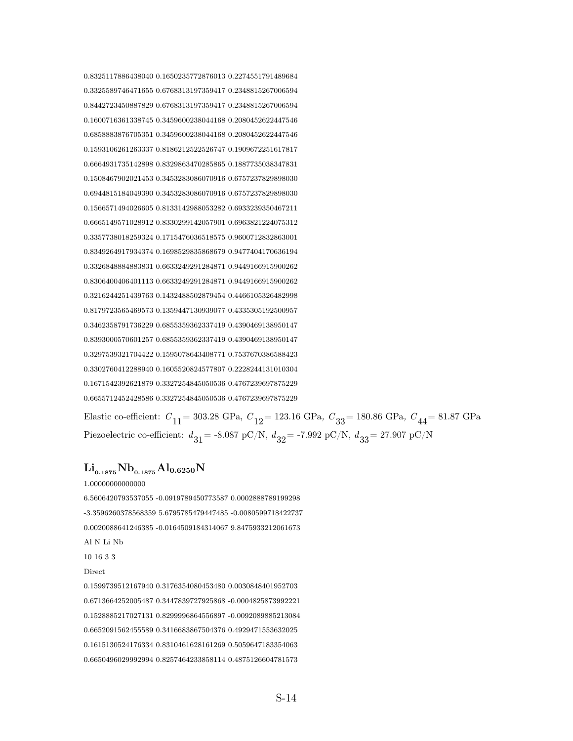0.8325117886438040 0.1650235772876013 0.2274551791489684 0.3325589746471655 0.6768313197359417 0.2348815267006594 0.8442723450887829 0.6768313197359417 0.2348815267006594 0.1600716361338745 0.3459600238044168 0.2080452622447546 0.6858883876705351 0.3459600238044168 0.2080452622447546 0.1593106261263337 0.8186212522526747 0.1909672251617817 0.6664931735142898 0.8329863470285865 0.1887735038347831 0.1508467902021453 0.3453283086070916 0.6757237829898030 0.6944815184049390 0.3453283086070916 0.6757237829898030 0.1566571494026605 0.8133142988053282 0.6933239350467211 0.6665149571028912 0.8330299142057901 0.6963821224075312 0.3357738018259324 0.1715476036518575 0.9600712832863001 0.8349264917934374 0.1698529835868679 0.9477404170636194 0.3326848884883831 0.6633249291284871 0.9449166915900262 0.8306400406401113 0.6633249291284871 0.9449166915900262 0.3216244251439763 0.1432488502879454 0.4466105326482998 0.8179723565469573 0.1359447130939077 0.4335305192500957 0.3462358791736229 0.6855359362337419 0.4390469138950147 0.8393000570601257 0.6855359362337419 0.4390469138950147 0.3297539321704422 0.1595078643408771 0.7537670386588423 0.3302760412288940 0.1605520824577807 0.2228244131010304 0.1671542392621879 0.3327254845050536 0.4767239697875229 0.6655712452428586 0.3327254845050536 0.4767239697875229

Elastic co-efficient:  $C_{11}$  = 303.28 GPa,  $C_{12}$  = 123.16 GPa,  $C_{33}$  = 180.86 GPa,  $C_{44}$  = 81.87 GPa Piezoelectric co-efficient:  $d_{31}$  = -8.087 pC/N,  $d_{32}$  = -7.992 pC/N,  $d_{33}$  = 27.907 pC/N

## $\rm Li_{0.1875}Nb_{0.1875}Al_{0.6250}N$

1.00000000000000

6.5606420793537055 -0.0919789450773587 0.0002888789199298 -3.3596260378568359 5.6795785479447485 -0.0080599718422737 0.0020088641246385 -0.0164509184314067 9.8475933212061673 Al N Li Nb 10 16 3 3

#### Direct

0.1599739512167940 0.3176354080453480 0.0030848401952703 0.6713664252005487 0.3447839727925868 -0.0004825873992221 0.1528885217027131 0.8299996864556897 -0.0092089885213084 0.6652091562455589 0.3416683867504376 0.4929471553632025 0.1615130524176334 0.8310461628161269 0.5059647183354063 0.6650496029992994 0.8257464233858114 0.4875126604781573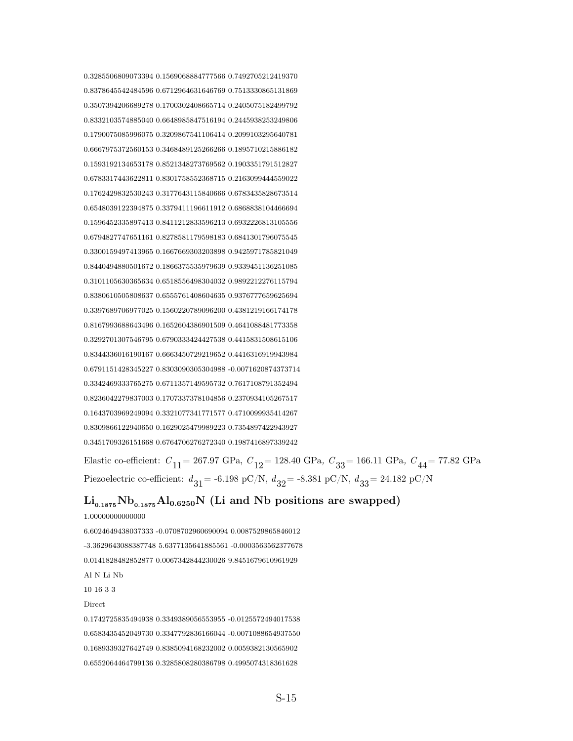0.3285506809073394 0.1569068884777566 0.7492705212419370 0.8378645542484596 0.6712964631646769 0.7513330865131869 0.3507394206689278 0.1700302408665714 0.2405075182499792 0.8332103574885040 0.6648985847516194 0.2445938253249806 0.1790075085996075 0.3209867541106414 0.2099103295640781 0.6667975372560153 0.3468489125266266 0.1895710215886182 0.1593192134653178 0.8521348273769562 0.1903351791512827 0.6783317443622811 0.8301758552368715 0.2163099444559022 0.1762429832530243 0.3177643115840666 0.6783435828673514 0.6548039122394875 0.3379411196611912 0.6868838104466694 0.1596452335897413 0.8411212833596213 0.6932226813105556 0.6794827747651161 0.8278581179598183 0.6841301796075545 0.3300159497413965 0.1667669303203898 0.9425971785821049 0.8440494880501672 0.1866375535979639 0.9339451136251085 0.3101105630365634 0.6518556498304032 0.9892212276115794 0.8380610505808637 0.6555761408604635 0.9376777659625694 0.3397689706977025 0.1560220789096200 0.4381219166174178 0.8167993688643496 0.1652604386901509 0.4641088481773358 0.3292701307546795 0.6790333424427538 0.4415831508615106 0.8344336016190167 0.6663450729219652 0.4416316919943984 0.6791151428345227 0.8303090305304988 -0.0071620874373714 0.3342469333765275 0.6711357149595732 0.7617108791352494 0.8236042279837003 0.1707337378104856 0.2370934105267517 0.1643703969249094 0.3321077341771577 0.4710099935414267 0.8309866122940650 0.1629025479989223 0.7354897422943927 0.3451709326151668 0.6764706276272340 0.1987416897339242

Elastic co-efficient:  $C_{11}$  = 267.97 GPa,  $C_{12}$  = 128.40 GPa,  $C_{33}$  = 166.11 GPa,  $C_{44}$  = 77.82 GPa Piezoelectric co-efficient:  $d_{31}$  = -6.198 pC/N,  $d_{32}$  = -8.381 pC/N,  $d_{33}$  = 24.182 pC/N

## $\rm Li_{0.1875}Nb_{0.1875}Al_{0.6250}N$  (Li and Nb positions are swapped)

1.00000000000000 6.6024649438037333 -0.0708702960690094 0.0087529865846012 -3.3629643088387748 5.6377135641885561 -0.0003563562377678 0.0141828482852877 0.0067342844230026 9.8451679610961929 Al N Li Nb 10 16 3 3 Direct 0.1742725835494938 0.3349389056553955 -0.0125572494017538 0.6583435452049730 0.3347792836166044 -0.0071088654937550 0.1689339327642749 0.8385094168232002 0.0059382130565902 0.6552064464799136 0.3285808280386798 0.4995074318361628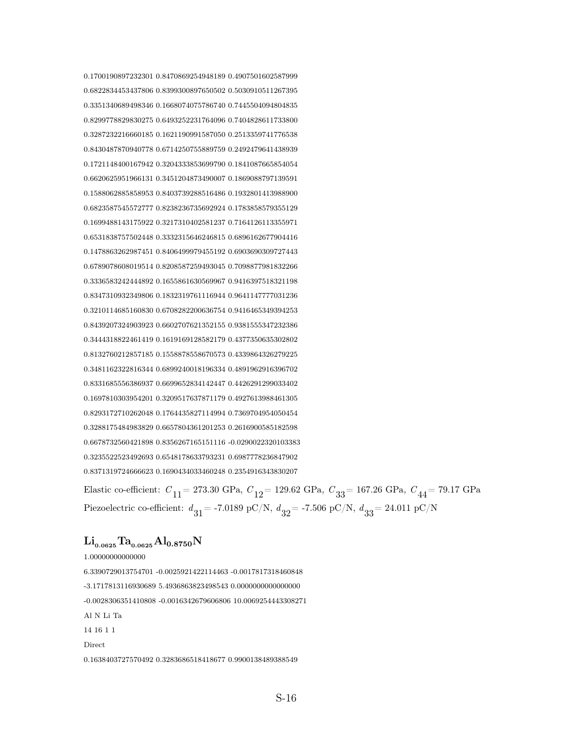0.1700190897232301 0.8470869254948189 0.4907501602587999 0.6822834453437806 0.8399300897650502 0.5030910511267395 0.3351340689498346 0.1668074075786740 0.7445504094804835 0.8299778829830275 0.6493252231764096 0.7404828611733800 0.3287232216660185 0.1621190991587050 0.2513359741776538 0.8430487870940778 0.6714250755889759 0.2492479641438939 0.1721148400167942 0.3204333853699790 0.1841087665854054 0.6620625951966131 0.3451204873490007 0.1869088797139591 0.1588062885858953 0.8403739288516486 0.1932801413988900 0.6823587545572777 0.8238236735692924 0.1783858579355129 0.1699488143175922 0.3217310402581237 0.7164126113355971 0.6531838757502448 0.3332315646246815 0.6896162677904416 0.1478863262987451 0.8406499979455192 0.6903690309727443 0.6789078608019514 0.8208587259493045 0.7098877981832266 0.3336583242444892 0.1655861630569967 0.9416397518321198 0.8347310932349806 0.1832319761116944 0.9641147777031236 0.3210114685160830 0.6708282200636754 0.9416465349394253 0.8439207324903923 0.6602707621352155 0.9381555347232386 0.3444318822461419 0.1619169128582179 0.4377350635302802 0.8132760212857185 0.1558878558670573 0.4339864326279225 0.3481162322816344 0.6899240018196334 0.4891962916396702 0.8331685556386937 0.6699652834142447 0.4426291299033402 0.1697810303954201 0.3209517637871179 0.4927613988461305 0.8293172710262048 0.1764435827114994 0.7369704954050454 0.3288175484983829 0.6657804361201253 0.2616900585182598 0.6678732560421898 0.8356267165151116 -0.0290022320103383 0.3235522523492693 0.6548178633793231 0.6987778236847902 0.8371319724666623 0.1690434033460248 0.2354916343830207

Elastic co-efficient:  $C_{11}$  = 273.30 GPa,  $C_{12}$  = 129.62 GPa,  $C_{33}$  = 167.26 GPa,  $C_{44}$  = 79.17 GPa Piezoelectric co-efficient:  $d_{31}$  = -7.0189 pC/N,  $d_{32}$  = -7.506 pC/N,  $d_{33}$  = 24.011 pC/N

## $Li_{0.0625}Ta_{0.0625}Al_{0.8750}N$

1.00000000000000 6.3390729013754701 -0.0025921422114463 -0.0017817318460848 -3.1717813116930689 5.4936863823498543 0.0000000000000000 -0.0028306351410808 -0.0016342679606806 10.0069254443308271 Al N Li Ta 14 16 1 1 Direct 0.1638403727570492 0.3283686518418677 0.9900138489388549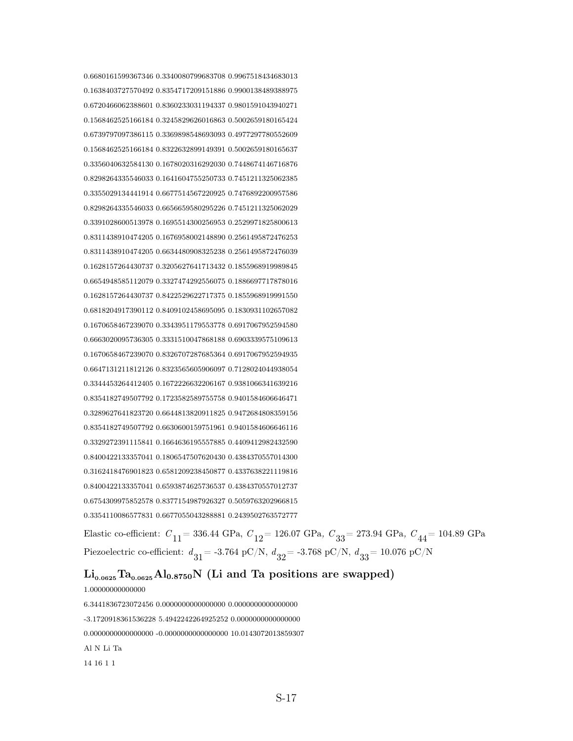0.6680161599367346 0.3340080799683708 0.9967518434683013 0.1638403727570492 0.8354717209151886 0.9900138489388975 0.6720466062388601 0.8360233031194337 0.9801591043940271 0.1568462525166184 0.3245829626016863 0.5002659180165424 0.6739797097386115 0.3369898548693093 0.4977297780552609 0.1568462525166184 0.8322632899149391 0.5002659180165637 0.3356040632584130 0.1678020316292030 0.7448674146716876 0.8298264335546033 0.1641604755250733 0.7451211325062385 0.3355029134441914 0.6677514567220925 0.7476892200957586 0.8298264335546033 0.6656659580295226 0.7451211325062029 0.3391028600513978 0.1695514300256953 0.2529971825800613 0.8311438910474205 0.1676958002148890 0.2561495872476253 0.8311438910474205 0.6634480908325238 0.2561495872476039 0.1628157264430737 0.3205627641713432 0.1855968919989845 0.6654948585112079 0.3327474292556075 0.1886697717878016 0.1628157264430737 0.8422529622717375 0.1855968919991550 0.6818204917390112 0.8409102458695095 0.1830931102657082 0.1670658467239070 0.3343951179553778 0.6917067952594580 0.6663020095736305 0.3331510047868188 0.6903339575109613 0.1670658467239070 0.8326707287685364 0.6917067952594935 0.6647131211812126 0.8323565605906097 0.7128024044938054 0.3344453264412405 0.1672226632206167 0.9381066341639216 0.8354182749507792 0.1723582589755758 0.9401584606646471 0.3289627641823720 0.6644813820911825 0.9472684808359156 0.8354182749507792 0.6630600159751961 0.9401584606646116 0.3329272391115841 0.1664636195557885 0.4409412982432590 0.8400422133357041 0.1806547507620430 0.4384370557014300 0.3162418476901823 0.6581209238450877 0.4337638221119816 0.8400422133357041 0.6593874625736537 0.4384370557012737 0.6754309975852578 0.8377154987926327 0.5059763202966815 0.3354110086577831 0.6677055043288881 0.2439502763572777

Elastic co-efficient:  $C_{11}$  = 336.44 GPa,  $C_{12}$  = 126.07 GPa,  $C_{33}$  = 273.94 GPa,  $C_{44}$  = 104.89 GPa Piezoelectric co-efficient:  $d_{31}$  = -3.764 pC/N,  $d_{32}$  = -3.768 pC/N,  $d_{33}$  = 10.076 pC/N

## $\rm Li_{0.0625}Ta_{0.0625}Al_{0.8750}N$  (Li and Ta positions are swapped)

1.00000000000000 6.3441836723072456 0.0000000000000000 0.0000000000000000 -3.1720918361536228 5.4942242264925252 0.0000000000000000 0.0000000000000000 -0.0000000000000000 10.0143072013859307 Al N Li Ta 14 16 1 1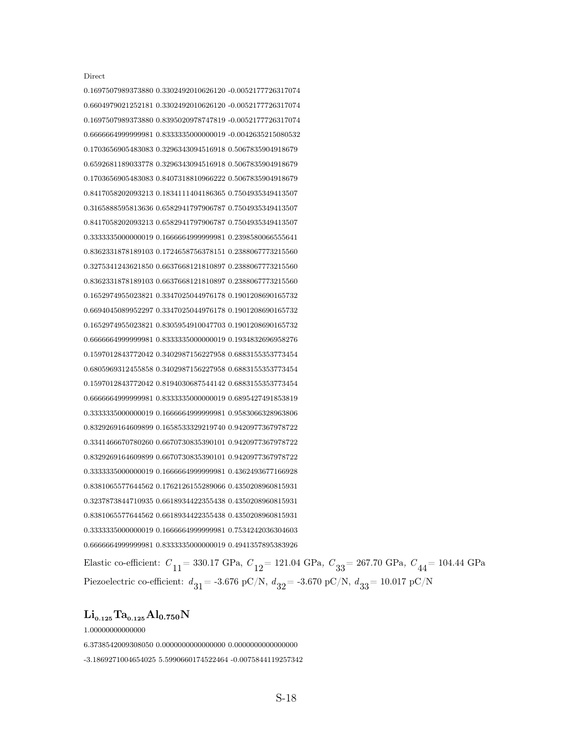Direct

0.1697507989373880 0.3302492010626120 -0.0052177726317074 0.6604979021252181 0.3302492010626120 -0.0052177726317074 0.1697507989373880 0.8395020978747819 -0.0052177726317074 0.6666664999999981 0.8333335000000019 -0.0042635215080532 0.1703656905483083 0.3296343094516918 0.5067835904918679 0.6592681189033778 0.3296343094516918 0.5067835904918679 0.1703656905483083 0.8407318810966222 0.5067835904918679 0.8417058202093213 0.1834111404186365 0.7504935349413507 0.3165888595813636 0.6582941797906787 0.7504935349413507 0.8417058202093213 0.6582941797906787 0.7504935349413507 0.3333335000000019 0.1666664999999981 0.2398580066555641 0.8362331878189103 0.1724658756378151 0.2388067773215560 0.3275341243621850 0.6637668121810897 0.2388067773215560 0.8362331878189103 0.6637668121810897 0.2388067773215560 0.1652974955023821 0.3347025044976178 0.1901208690165732 0.6694045089952297 0.3347025044976178 0.1901208690165732 0.1652974955023821 0.8305954910047703 0.1901208690165732 0.6666664999999981 0.8333335000000019 0.1934832696958276 0.1597012843772042 0.3402987156227958 0.6883155353773454 0.6805969312455858 0.3402987156227958 0.6883155353773454 0.1597012843772042 0.8194030687544142 0.6883155353773454 0.6666664999999981 0.8333335000000019 0.6895427491853819 0.3333335000000019 0.1666664999999981 0.9583066328963806 0.8329269164609899 0.1658533329219740 0.9420977367978722 0.3341466670780260 0.6670730835390101 0.9420977367978722 0.8329269164609899 0.6670730835390101 0.9420977367978722 0.3333335000000019 0.1666664999999981 0.4362493677166928 0.8381065577644562 0.1762126155289066 0.4350208960815931 0.3237873844710935 0.6618934422355438 0.4350208960815931 0.8381065577644562 0.6618934422355438 0.4350208960815931 0.3333335000000019 0.1666664999999981 0.7534242036304603 0.6666664999999981 0.8333335000000019 0.4941357895383926

Elastic co-efficient:  $C_{11}$  = 330.17 GPa,  $C_{12}$  = 121.04 GPa,  $C_{33}$  = 267.70 GPa,  $C_{44}$  = 104.44 GPa Piezoelectric co-efficient:  $d_{31}$  = -3.676 pC/N,  $d_{32}$  = -3.670 pC/N,  $d_{33}$  = 10.017 pC/N

#### $Li_{0.125}Ta_{0.125}Al_{0.750}N$

1.00000000000000

6.3738542009308050 0.0000000000000000 0.0000000000000000

-3.1869271004654025 5.5990660174522464 -0.0075844119257342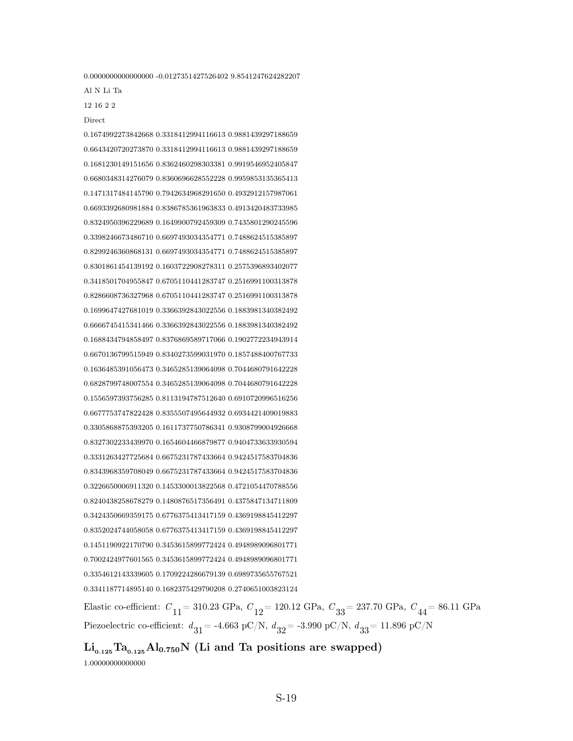0.0000000000000000 -0.0127351427526402 9.8541247624282207

0.1674992273842668 0.3318412994116613 0.9881439297188659

Al N Li Ta

12 16 2 2

Direct

0.6643420720273870 0.3318412994116613 0.9881439297188659 0.1681230149151656 0.8362460298303381 0.9919546952405847 0.6680348314276079 0.8360696628552228 0.9959853135365413 0.1471317484145790 0.7942634968291650 0.4932912157987061 0.6693392680981884 0.8386785361963833 0.4913420483733985 0.8324950396229689 0.1649900792459309 0.7435801290245596 0.3398246673486710 0.6697493034354771 0.7488624515385897 0.8299246360868131 0.6697493034354771 0.7488624515385897 0.8301861454139192 0.1603722908278311 0.2575396893402077 0.3418501704955847 0.6705110441283747 0.2516991100313878 0.8286608736327968 0.6705110441283747 0.2516991100313878 0.1699647427681019 0.3366392843022556 0.1883981340382492 0.6666745415341466 0.3366392843022556 0.1883981340382492 0.1688434794858497 0.8376869589717066 0.1902772234943914 0.6670136799515949 0.8340273599031970 0.1857488400767733 0.1636485391056473 0.3465285139064098 0.7044680791642228 0.6828799748007554 0.3465285139064098 0.7044680791642228 0.1556597393756285 0.8113194787512640 0.6910720996516256 0.6677753747822428 0.8355507495644932 0.6934421409019883 0.3305868875393205 0.1611737750786341 0.9308799004926668 0.8327302233439970 0.1654604466879877 0.9404733633930594 0.3331263427725684 0.6675231787433664 0.9424517583704836 0.8343968359708049 0.6675231787433664 0.9424517583704836 0.3226650006911320 0.1453300013822568 0.4721054470788556 0.8240438258678279 0.1480876517356491 0.4375847134711809 0.3424350669359175 0.6776375413417159 0.4369198845412297 0.8352024744058058 0.6776375413417159 0.4369198845412297 0.1451190922170790 0.3453615899772424 0.4948989096801771 0.7002424977601565 0.3453615899772424 0.4948989096801771 0.3354612143339605 0.1709224286679139 0.6989735655767521 0.3341187714895140 0.1682375429790208 0.2740651003823124

Elastic co-efficient:  $C_{11}$  = 310.23 GPa,  $C_{12}$  = 120.12 GPa,  $C_{33}$  = 237.70 GPa,  $C_{44}$  = 86.11 GPa Piezoelectric co-efficient:  $d_{31}$  = -4.663 pC/N,  $d_{32}$  = -3.990 pC/N,  $d_{33}$  = 11.896 pC/N

 $\rm Li_{0.125}Ta_{0.125}Al_{0.750}N$  (Li and Ta positions are swapped)

1.00000000000000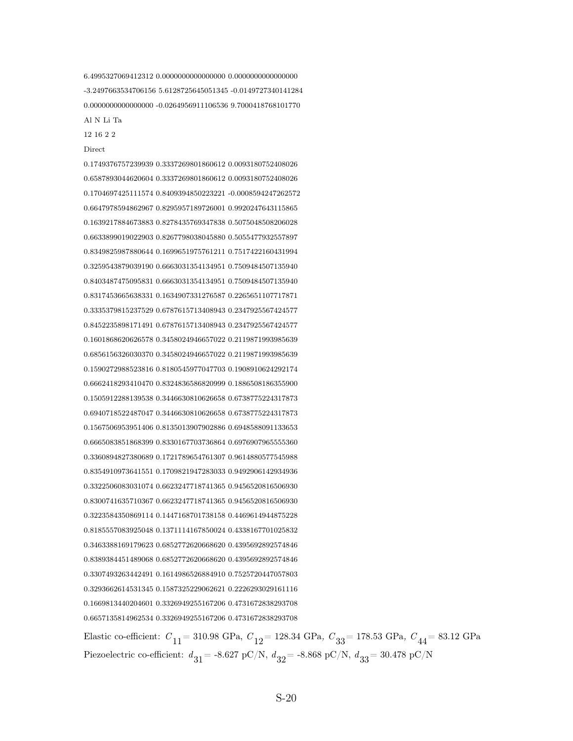12 16 2 2 Direct 0.1749376757239939 0.3337269801860612 0.0093180752408026 0.6587893044620604 0.3337269801860612 0.0093180752408026 0.1704697425111574 0.8409394850223221 -0.0008594247262572 0.6647978594862967 0.8295957189726001 0.9920247643115865 0.1639217884673883 0.8278435769347838 0.5075048508206028 0.6633899019022903 0.8267798038045880 0.5055477932557897 0.8349825987880644 0.1699651975761211 0.7517422160431994 0.3259543879039190 0.6663031354134951 0.7509484507135940 0.8403487475095831 0.6663031354134951 0.7509484507135940 0.8317453665638331 0.1634907331276587 0.2265651107717871 0.3335379815237529 0.6787615713408943 0.2347925567424577 0.8452235898171491 0.6787615713408943 0.2347925567424577 0.1601868620626578 0.3458024946657022 0.2119871993985639 0.6856156326030370 0.3458024946657022 0.2119871993985639 0.1590272988523816 0.8180545977047703 0.1908910624292174 0.6662418293410470 0.8324836586820999 0.1886508186355900 0.1505912288139538 0.3446630810626658 0.6738775224317873 0.6940718522487047 0.3446630810626658 0.6738775224317873 0.1567506953951406 0.8135013907902886 0.6948588091133653 0.6665083851868399 0.8330167703736864 0.6976907965555360 0.3360894827380689 0.1721789654761307 0.9614880577545988 0.8354910973641551 0.1709821947283033 0.9492906142934936 0.3322506083031074 0.6623247718741365 0.9456520816506930 0.8300741635710367 0.6623247718741365 0.9456520816506930 0.3223584350869114 0.1447168701738158 0.4469614944875228 0.8185557083925048 0.1371114167850024 0.4338167701025832 0.3463388169179623 0.6852772620668620 0.4395692892574846 0.8389384451489068 0.6852772620668620 0.4395692892574846 0.3307493263442491 0.1614986526884910 0.7525720447057803 0.3293662614531345 0.1587325229062621 0.2226293029161116 0.1669813440204601 0.3326949255167206 0.4731672838293708 0.6657135814962534 0.3326949255167206 0.4731672838293708

6.4995327069412312 0.0000000000000000 0.0000000000000000 -3.2497663534706156 5.6128725645051345 -0.0149727340141284 0.0000000000000000 -0.0264956911106536 9.7000418768101770

Al N Li Ta

Elastic co-efficient:  $C_{11}$  = 310.98 GPa,  $C_{12}$  = 128.34 GPa,  $C_{33}$  = 178.53 GPa,  $C_{44}$  = 83.12 GPa Piezoelectric co-efficient:  $d_{31}$  = -8.627 pC/N,  $d_{32}$  = -8.868 pC/N,  $d_{33}$  = 30.478 pC/N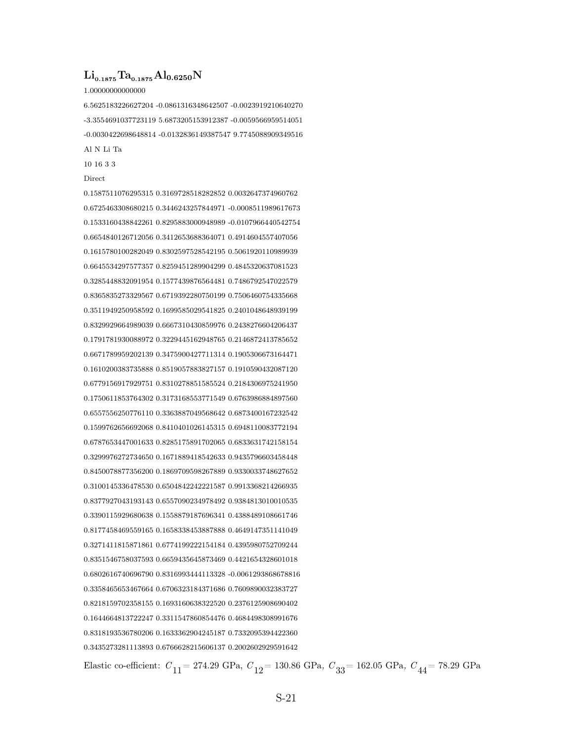#### $\rm Li_{0.1875}Ta_{0.1875}Al_{0.6250}N$

#### 1.00000000000000

6.5625183226627204 -0.0861316348642507 -0.0023919210640270 -3.3554691037723119 5.6873205153912387 -0.0059566959514051 -0.0030422698648814 -0.0132836149387547 9.7745088909349516 Al N Li Ta

10 16 3 3

#### Direct

0.1587511076295315 0.3169728518282852 0.0032647374960762 0.6725463308680215 0.3446243257844971 -0.0008511989617673 0.1533160438842261 0.8295883000948989 -0.0107966440542754 0.6654840126712056 0.3412653688364071 0.4914604557407056 0.1615780100282049 0.8302597528542195 0.5061920110989939 0.6645534297577357 0.8259451289904299 0.4845320637081523 0.3285448832091954 0.1577439876564481 0.7486792547022579 0.8365835273329567 0.6719392280750199 0.7506460754335668 0.3511949250958592 0.1699585029541825 0.2401048648939199 0.8329929664989039 0.6667310430859976 0.2438276604206437 0.1791781930088972 0.3229445162948765 0.2146872413785652 0.6671789959202139 0.3475900427711314 0.1905306673164471 0.1610200383735888 0.8519057883827157 0.1910590432087120 0.6779156917929751 0.8310278851585524 0.2184306975241950 0.1750611853764302 0.3173168553771549 0.6763986884897560 0.6557556250776110 0.3363887049568642 0.6873400167232542 0.1599762656692068 0.8410401026145315 0.6948110083772194 0.6787653447001633 0.8285175891702065 0.6833631742158154 0.3299976272734650 0.1671889418542633 0.9435796603458448 0.8450078877356200 0.1869709598267889 0.9330033748627652 0.3100145336478530 0.6504842242221587 0.9913368214266935 0.8377927043193143 0.6557090234978492 0.9384813010010535 0.3390115929680638 0.1558879187696341 0.4388489108661746 0.8177458469559165 0.1658338453887888 0.4649147351141049 0.3271411815871861 0.6774199222154184 0.4395980752709244 0.8351546758037593 0.6659435645873469 0.4421654328601018 0.6802616740696790 0.8316993444113328 -0.0061293868678816 0.3358465653467664 0.6706323184371686 0.7609890032383727 0.8218159702358155 0.1693160638322520 0.2376125908690402 0.1644664813722247 0.3311547860854476 0.4684498308991676 0.8318193536780206 0.1633362904245187 0.7332095394422360 0.3435273281113893 0.6766628215606137 0.2002602929591642

Elastic co-efficient:  $C_{11}$  = 274.29 GPa,  $C_{12}$  = 130.86 GPa,  $C_{33}$  = 162.05 GPa,  $C_{44}$  = 78.29 GPa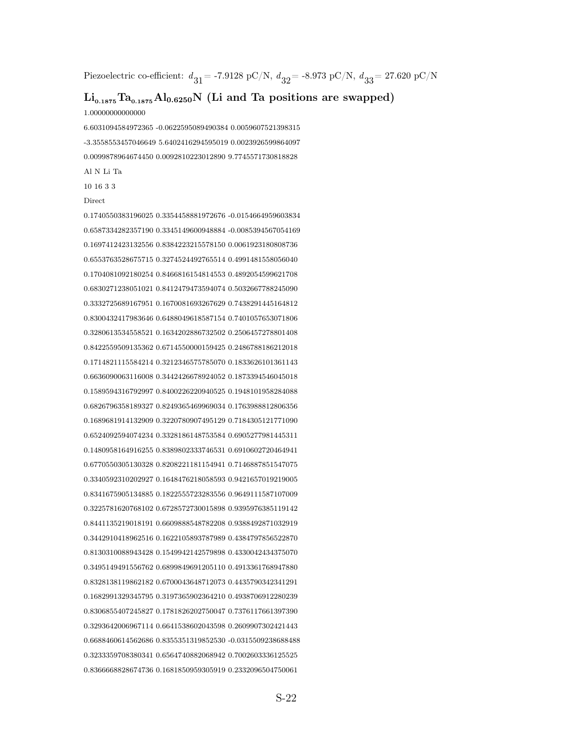Piezoelectric co-efficient:  $d_{31}$  = -7.9128 pC/N,  $d_{32}$  = -8.973 pC/N,  $d_{33}$  = 27.620 pC/N

#### $\rm Li_{0.1875}Ta_{0.1875}Al_{0.6250}N$  (Li and Ta positions are swapped)

1.00000000000000

6.6031094584972365 -0.0622595089490384 0.0059607521398315 -3.3558553457046649 5.6402416294595019 0.0023926599864097 0.0099878964674450 0.0092810223012890 9.7745571730818828 Al N Li Ta

10 16 3 3

#### Direct

0.1740550383196025 0.3354458881972676 -0.0154664959603834 0.6587334282357190 0.3345149600948884 -0.0085394567054169 0.1697412423132556 0.8384223215578150 0.0061923180808736 0.6553763528675715 0.3274524492765514 0.4991481558056040 0.1704081092180254 0.8466816154814553 0.4892054599621708 0.6830271238051021 0.8412479473594074 0.5032667788245090 0.3332725689167951 0.1670081693267629 0.7438291445164812 0.8300432417983646 0.6488049618587154 0.7401057653071806 0.3280613534558521 0.1634202886732502 0.2506457278801408 0.8422559509135362 0.6714550000159425 0.2486788186212018 0.1714821115584214 0.3212346575785070 0.1833626101361143 0.6636090063116008 0.3442426678924052 0.1873394546045018 0.1589594316792997 0.8400226220940525 0.1948101958284088 0.6826796358189327 0.8249365469969034 0.1763988812806356 0.1689681914132909 0.3220780907495129 0.7184305121771090 0.6524092594074234 0.3328186148753584 0.6905277981445311 0.1480958164916255 0.8389802333746531 0.6910602720464941 0.6770550305130328 0.8208221181154941 0.7146887851547075 0.3340592310202927 0.1648476218058593 0.9421657019219005 0.8341675905134885 0.1822555723283556 0.9649111587107009 0.3225781620768102 0.6728572730015898 0.9395976385119142 0.8441135219018191 0.6609888548782208 0.9388492871032919 0.3442910418962516 0.1622105893787989 0.4384797856522870 0.8130310088943428 0.1549942142579898 0.4330042434375070 0.3495149491556762 0.6899849691205110 0.4913361768947880 0.8328138119862182 0.6700043648712073 0.4435790342341291 0.1682991329345795 0.3197365902364210 0.4938706912280239 0.8306855407245827 0.1781826202750047 0.7376117661397390 0.3293642006967114 0.6641538602043598 0.2609907302421443 0.6688460614562686 0.8355351319852530 -0.0315509238688488 0.3233359708380341 0.6564740882068942 0.7002603336125525 0.8366668828674736 0.1681850959305919 0.2332096504750061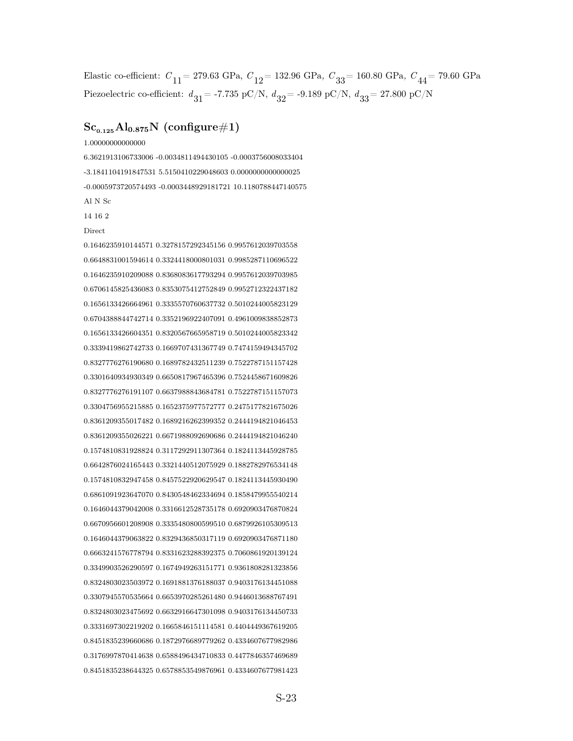Elastic co-efficient:  $C_{11}$  = 279.63 GPa,  $C_{12}$  = 132.96 GPa,  $C_{33}$  = 160.80 GPa,  $C_{44}$  = 79.60 GPa Piezoelectric co-efficient:  $d_{31}$  = -7.735 pC/N,  $d_{32}$  = -9.189 pC/N,  $d_{33}$  = 27.800 pC/N

## $Sc_{0.125}Al_{0.875}N$  (configure#1)

1.00000000000000

6.3621913106733006 -0.0034811494430105 -0.0003756008033404 -3.1841104191847531 5.5150410229048603 0.0000000000000025 -0.0005973720574493 -0.0003448929181721 10.1180788447140575 Al N Sc 14 16 2

**Direct** 

0.1646235910144571 0.3278157292345156 0.9957612039703558 0.6648831001594614 0.3324418000801031 0.9985287110696522 0.1646235910209088 0.8368083617793294 0.9957612039703985 0.6706145825436083 0.8353075412752849 0.9952712322437182 0.1656133426664961 0.3335570760637732 0.5010244005823129 0.6704388844742714 0.3352196922407091 0.4961009838852873 0.1656133426604351 0.8320567665958719 0.5010244005823342 0.3339419862742733 0.1669707431367749 0.7474159494345702 0.8327776276190680 0.1689782432511239 0.7522787151157428 0.3301640934930349 0.6650817967465396 0.7524458671609826 0.8327776276191107 0.6637988843684781 0.7522787151157073 0.3304756955215885 0.1652375977572777 0.2475177821675026 0.8361209355017482 0.1689216262399352 0.2444194821046453 0.8361209355026221 0.6671988092690686 0.2444194821046240 0.1574810831928824 0.3117292911307364 0.1824113445928785 0.6642876024165443 0.3321440512075929 0.1882782976534148 0.1574810832947458 0.8457522920629547 0.1824113445930490 0.6861091923647070 0.8430548462334694 0.1858479955540214 0.1646044379042008 0.3316612528735178 0.6920903476870824 0.6670956601208908 0.3335480800599510 0.6879926105309513 0.1646044379063822 0.8329436850317119 0.6920903476871180 0.6663241576778794 0.8331623288392375 0.7060861920139124 0.3349903526290597 0.1674949263151771 0.9361808281323856 0.8324803023503972 0.1691881376188037 0.9403176134451088 0.3307945570535664 0.6653970285261480 0.9446013688767491 0.8324803023475692 0.6632916647301098 0.9403176134450733 0.3331697302219202 0.1665846151114581 0.4404449367619205 0.8451835239660686 0.1872976689779262 0.4334607677982986 0.3176997870414638 0.6588496434710833 0.4477846357469689 0.8451835238644325 0.6578853549876961 0.4334607677981423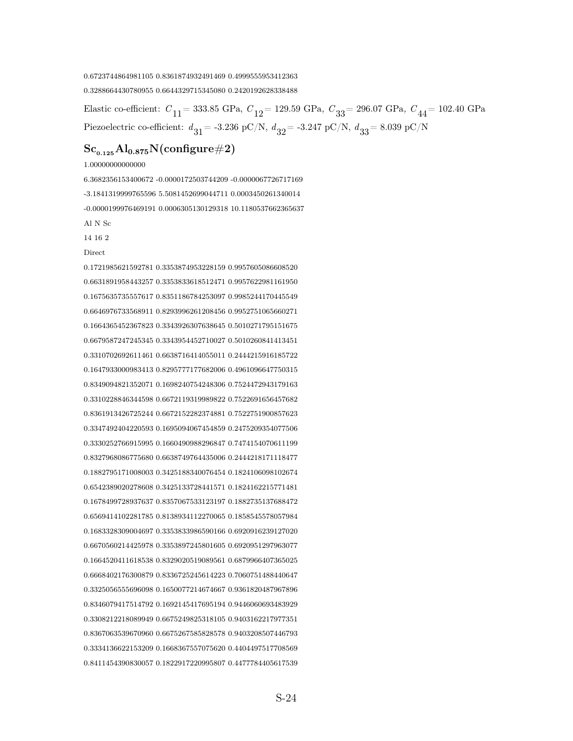#### 0.6723744864981105 0.8361874932491469 0.4999555953412363

0.3288664430780955 0.6644329715345080 0.2420192628338488

Elastic co-efficient:  $C_{11}$  = 333.85 GPa,  $C_{12}$  = 129.59 GPa,  $C_{33}$  = 296.07 GPa,  $C_{44}$  = 102.40 GPa Piezoelectric co-efficient:  $d_{31}$  = -3.236 pC/N,  $d_{32}$  = -3.247 pC/N,  $d_{33}$  = 8.039 pC/N

#### $Sc_{0.125}Al_{0.875}N$ (configure#2)

1.00000000000000

6.3682356153400672 -0.0000172503744209 -0.0000067726717169 -3.1841319999765596 5.5081452699044711 0.0003450261340014 -0.0000199976469191 0.0006305130129318 10.1180537662365637 Al N Sc

14 16 2

Direct

0.1721985621592781 0.3353874953228159 0.9957605086608520 0.6631891958443257 0.3353833618512471 0.9957622981161950 0.1675635735557617 0.8351186784253097 0.9985244170445549 0.6646976733568911 0.8293996261208456 0.9952751065660271 0.1664365452367823 0.3343926307638645 0.5010271795151675 0.6679587247245345 0.3343954452710027 0.5010260841413451 0.3310702692611461 0.6638716414055011 0.2444215916185722 0.1647933000983413 0.8295777177682006 0.4961096647750315 0.8349094821352071 0.1698240754248306 0.7524472943179163 0.3310228846344598 0.6672119319989822 0.7522691656457682 0.8361913426725244 0.6672152282374881 0.7522751900857623 0.3347492404220593 0.1695094067454859 0.2475209354077506 0.3330252766915995 0.1660490988296847 0.7474154070611199 0.8327968086775680 0.6638749764435006 0.2444218171118477 0.1882795171008003 0.3425188340076454 0.1824106098102674 0.6542389020278608 0.3425133728441571 0.1824162215771481 0.1678499728937637 0.8357067533123197 0.1882735137688472 0.6569414102281785 0.8138934112270065 0.1858545578057984 0.1683328309004697 0.3353833986590166 0.6920916239127020 0.6670560214425978 0.3353897245801605 0.6920951297963077 0.1664520411618538 0.8329020519089561 0.6879966407365025 0.6668402176300879 0.8336725245614223 0.7060751488440647 0.3325056555696098 0.1650077214674667 0.9361820487967896 0.8346079417514792 0.1692145417695194 0.9446060693483929 0.3308212218089949 0.6675249825318105 0.9403162217977351 0.8367063539670960 0.6675267585828578 0.9403208507446793 0.3334136622153209 0.1668367557075620 0.4404497517708569 0.8411454390830057 0.1822917220995807 0.4477784405617539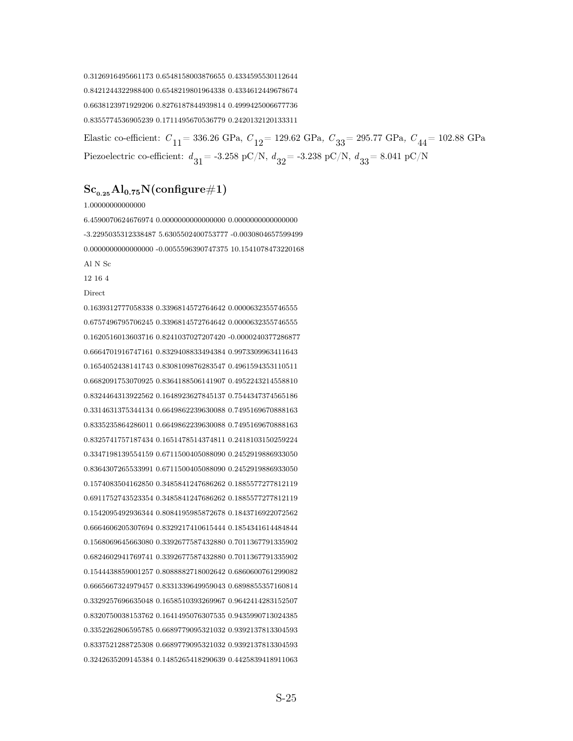0.3126916495661173 0.6548158003876655 0.4334595530112644 0.8421244322988400 0.6548219801964338 0.4334612449678674 0.6638123971929206 0.8276187844939814 0.4999425006677736 0.8355774536905239 0.1711495670536779 0.2420132120133311

Elastic co-efficient:  $C_{11}$  = 336.26 GPa,  $C_{12}$  = 129.62 GPa,  $C_{33}$  = 295.77 GPa,  $C_{44}$  = 102.88 GPa Piezoelectric co-efficient:  $d_{31}$  = -3.258 pC/N,  $d_{32}$  = -3.238 pC/N,  $d_{33}$  = 8.041 pC/N

## $Sc_{0.25}Al_{0.75}N($ configure#1)

1.00000000000000

6.4590070624676974 0.0000000000000000 0.0000000000000000 -3.2295035312338487 5.6305502400753777 -0.0030804657599499 0.0000000000000000 -0.0055596390747375 10.1541078473220168 Al N Sc 12 16 4

**Direct** 

0.1639312777058338 0.3396814572764642 0.0000632355746555 0.6757496795706245 0.3396814572764642 0.0000632355746555 0.1620516013603716 0.8241037027207420 -0.0000240377286877 0.6664701916747161 0.8329408833494384 0.9973309963411643 0.1654052438141743 0.8308109876283547 0.4961594353110511 0.6682091753070925 0.8364188506141907 0.4952243214558810 0.8324464313922562 0.1648923627845137 0.7544347374565186 0.3314631375344134 0.6649862239630088 0.7495169670888163 0.8335235864286011 0.6649862239630088 0.7495169670888163 0.8325741757187434 0.1651478514374811 0.2418103150259224 0.3347198139554159 0.6711500405088090 0.2452919886933050 0.8364307265533991 0.6711500405088090 0.2452919886933050 0.1574083504162850 0.3485841247686262 0.1885577277812119 0.6911752743523354 0.3485841247686262 0.1885577277812119 0.1542095492936344 0.8084195985872678 0.1843716922072562 0.6664606205307694 0.8329217410615444 0.1854341614484844 0.1568069645663080 0.3392677587432880 0.7011367791335902 0.6824602941769741 0.3392677587432880 0.7011367791335902 0.1544438859001257 0.8088882718002642 0.6860600761299082 0.6665667324979457 0.8331339649959043 0.6898855357160814 0.3329257696635048 0.1658510393269967 0.9642414283152507 0.8320750038153762 0.1641495076307535 0.9435990713024385 0.3352262806595785 0.6689779095321032 0.9392137813304593 0.8337521288725308 0.6689779095321032 0.9392137813304593 0.3242635209145384 0.1485265418290639 0.4425839418911063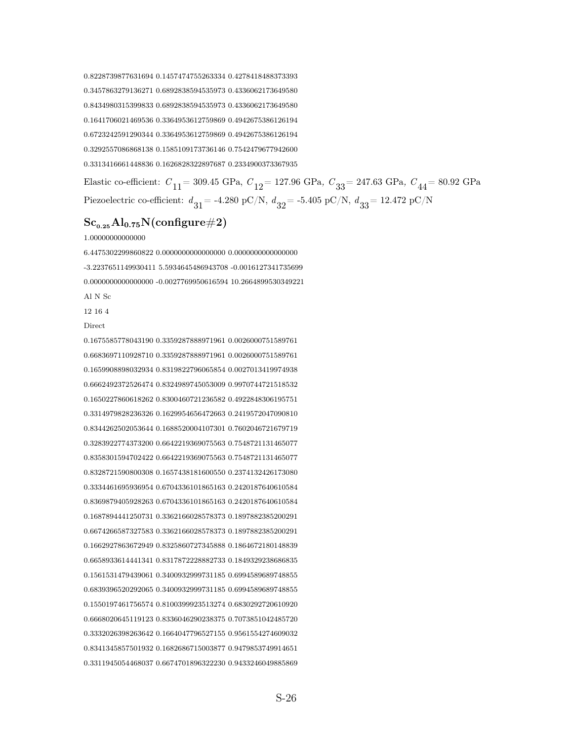0.8228739877631694 0.1457474755263334 0.4278418488373393 0.3457863279136271 0.6892838594535973 0.4336062173649580 0.8434980315399833 0.6892838594535973 0.4336062173649580 0.1641706021469536 0.3364953612759869 0.4942675386126194 0.6723242591290344 0.3364953612759869 0.4942675386126194 0.3292557086868138 0.1585109173736146 0.7542479677942600 0.3313416661448836 0.1626828322897687 0.2334900373367935

Elastic co-efficient:  $C_{11}$  = 309.45 GPa,  $C_{12}$  = 127.96 GPa,  $C_{33}$  = 247.63 GPa,  $C_{44}$  = 80.92 GPa Piezoelectric co-efficient:  $d_{31}$  = -4.280 pC/N,  $d_{32}$  = -5.405 pC/N,  $d_{33}$  = 12.472 pC/N

#### $Sc_{0.25}Al_{0.75}N$ (configure#2)

1.00000000000000

6.4475302299860822 0.0000000000000000 0.0000000000000000 -3.2237651149930411 5.5934645486943708 -0.0016127341735699 0.0000000000000000 -0.0027769950616594 10.2664899530349221 Al N Sc

12 16 4

Direct

0.1675585778043190 0.3359287888971961 0.0026000751589761 0.6683697110928710 0.3359287888971961 0.0026000751589761 0.1659908898032934 0.8319822796065854 0.0027013419974938 0.6662492372526474 0.8324989745053009 0.9970744721518532 0.1650227860618262 0.8300460721236582 0.4922848306195751 0.3314979828236326 0.1629954656472663 0.2419572047090810 0.8344262502053644 0.1688520004107301 0.7602046721679719 0.3283922774373200 0.6642219369075563 0.7548721131465077 0.8358301594702422 0.6642219369075563 0.7548721131465077 0.8328721590800308 0.1657438181600550 0.2374132426173080 0.3334461695936954 0.6704336101865163 0.2420187640610584 0.8369879405928263 0.6704336101865163 0.2420187640610584 0.1687894441250731 0.3362166028578373 0.1897882385200291 0.6674266587327583 0.3362166028578373 0.1897882385200291 0.1662927863672949 0.8325860727345888 0.1864672180148839 0.6658933614441341 0.8317872228882733 0.1849329238686835 0.1561531479439061 0.3400932999731185 0.6994589689748855 0.6839396520292065 0.3400932999731185 0.6994589689748855 0.1550197461756574 0.8100399923513274 0.6830292720610920 0.6668020645119123 0.8336046290238375 0.7073851042485720 0.3332026398263642 0.1664047796527155 0.9561554274609032 0.8341345857501932 0.1682686715003877 0.9479853749914651 0.3311945054468037 0.6674701896322230 0.9433246049885869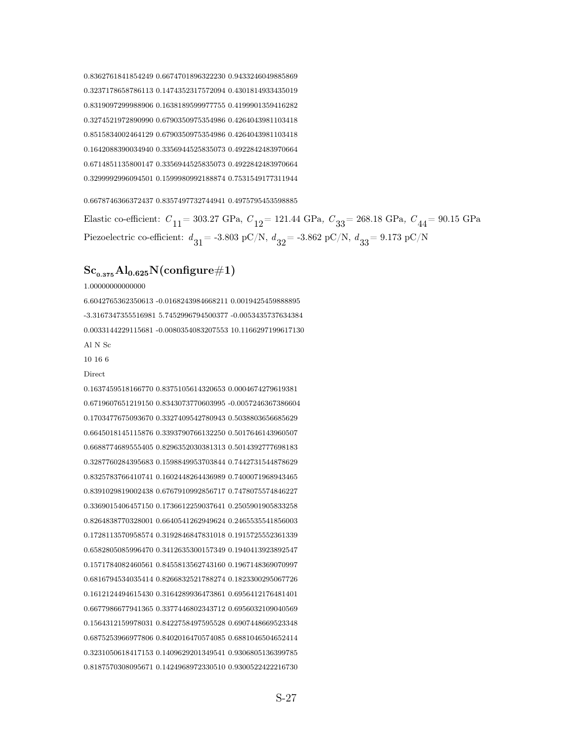0.8362761841854249 0.6674701896322230 0.9433246049885869 0.3237178658786113 0.1474352317572094 0.4301814933435019 0.8319097299988906 0.1638189599977755 0.4199901359416282 0.3274521972890990 0.6790350975354986 0.4264043981103418 0.8515834002464129 0.6790350975354986 0.4264043981103418 0.1642088390034940 0.3356944525835073 0.4922842483970664 0.6714851135800147 0.3356944525835073 0.4922842483970664 0.3299992996094501 0.1599980992188874 0.7531549177311944

0.6678746366372437 0.8357497732744941 0.4975795453598885

Elastic co-efficient:  $C_{11}$  = 303.27 GPa,  $C_{12}$  = 121.44 GPa,  $C_{33}$  = 268.18 GPa,  $C_{44}$  = 90.15 GPa Piezoelectric co-efficient:  $d_{31}$  = -3.803 pC/N,  $d_{32}$  = -3.862 pC/N,  $d_{33}$  = 9.173 pC/N

#### $\rm Sc_{0.375}Al_{0.625}N(configure \#1)$

1.00000000000000

6.6042765362350613 -0.0168243984668211 0.0019425459888895 -3.3167347355516981 5.7452996794500377 -0.0053435737634384 0.0033144229115681 -0.0080354083207553 10.1166297199617130 Al N Sc

10 16 6

Direct

0.1637459518166770 0.8375105614320653 0.0004674279619381 0.6719607651219150 0.8343073770603995 -0.0057246367386604 0.1703477675093670 0.3327409542780943 0.5038803656685629 0.6645018145115876 0.3393790766132250 0.5017646143960507 0.6688774689555405 0.8296352030381313 0.5014392777698183 0.3287760284395683 0.1598849953703844 0.7442731544878629 0.8325783766410741 0.1602448264436989 0.7400071968943465 0.8391029819002438 0.6767910992856717 0.7478075574846227 0.3369015406457150 0.1736612259037641 0.2505901905833258 0.8264838770328001 0.6640541262949624 0.2465535541856003 0.1728113570958574 0.3192846847831018 0.1915725552361339 0.6582805085996470 0.3412635300157349 0.1940413923892547 0.1571784082460561 0.8455813562743160 0.1967148369070997 0.6816794534035414 0.8266832521788274 0.1823300295067726 0.1612124494615430 0.3164289936473861 0.6956412176481401 0.6677986677941365 0.3377446802343712 0.6956032109040569 0.1564312159978031 0.8422758497595528 0.6907448669523348 0.6875253966977806 0.8402016470574085 0.6881046504652414 0.3231050618417153 0.1409629201349541 0.9306805136399785 0.8187570308095671 0.1424968972330510 0.9300522422216730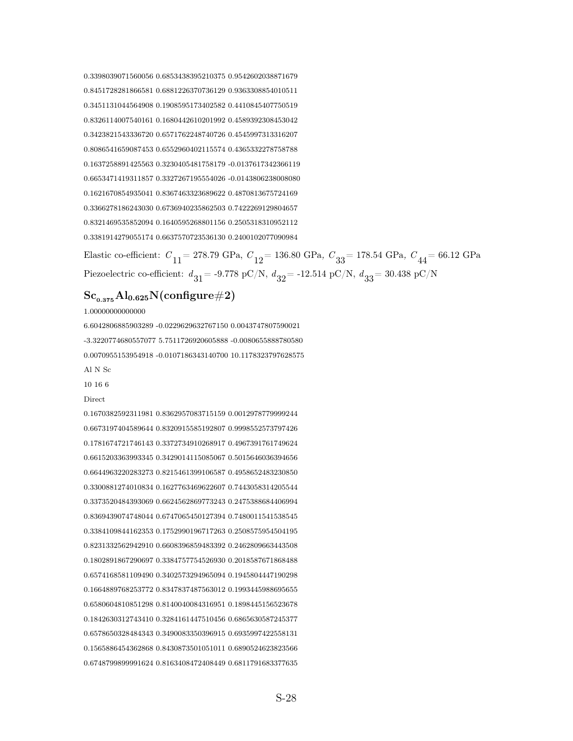0.3398039071560056 0.6853438395210375 0.9542602038871679 0.8451728281866581 0.6881226370736129 0.9363308854010511 0.3451131044564908 0.1908595173402582 0.4410845407750519 0.8326114007540161 0.1680442610201992 0.4589392308453042 0.3423821543336720 0.6571762248740726 0.4545997313316207 0.8086541659087453 0.6552960402115574 0.4365332278758788 0.1637258891425563 0.3230405481758179 -0.0137617342366119 0.6653471419311857 0.3327267195554026 -0.0143806238008080 0.1621670854935041 0.8367463323689622 0.4870813675724169 0.3366278186243030 0.6736940235862503 0.7422269129804657 0.8321469535852094 0.1640595268801156 0.2505318310952112 0.3381914279055174 0.6637570723536130 0.2400102077090984

Elastic co-efficient:  $C_{11}$  = 278.79 GPa,  $C_{12}$  = 136.80 GPa,  $C_{33}$  = 178.54 GPa,  $C_{44}$  = 66.12 GPa Piezoelectric co-efficient:  $d_{31}$  = -9.778 pC/N,  $d_{32}$  = -12.514 pC/N,  $d_{33}$  = 30.438 pC/N

## $\rm Sc_{0.375}Al_{0.625}N(configure \#2)$

1.00000000000000

6.6042806885903289 -0.0229629632767150 0.0043747807590021 -3.3220774680557077 5.7511726920605888 -0.0080655888780580 0.0070955153954918 -0.0107186343140700 10.1178323797628575 Al N Sc

10 16 6

Direct

0.1670382592311981 0.8362957083715159 0.0012978779999244 0.6673197404589644 0.8320915585192807 0.9998552573797426 0.1781674721746143 0.3372734910268917 0.4967391761749624 0.6615203363993345 0.3429014115085067 0.5015646036394656 0.6644963220283273 0.8215461399106587 0.4958652483230850 0.3300881274010834 0.1627763469622607 0.7443058314205544 0.3373520484393069 0.6624562869773243 0.2475388684406994 0.8369439074748044 0.6747065450127394 0.7480011541538545 0.3384109844162353 0.1752990196717263 0.2508575954504195 0.8231332562942910 0.6608396859483392 0.2462809663443508 0.1802891867290697 0.3384757754526930 0.2018587671868488 0.6574168581109490 0.3402573294965094 0.1945804447190298 0.1664889768253772 0.8347837487563012 0.1993445988695655 0.6580604810851298 0.8140040084316951 0.1898445156523678 0.1842630312743410 0.3284161447510456 0.6865630587245377 0.6578650328484343 0.3490083350396915 0.6935997422558131 0.1565886454362868 0.8430873501051011 0.6890524623823566 0.6748799899991624 0.8163408472408449 0.6811791683377635